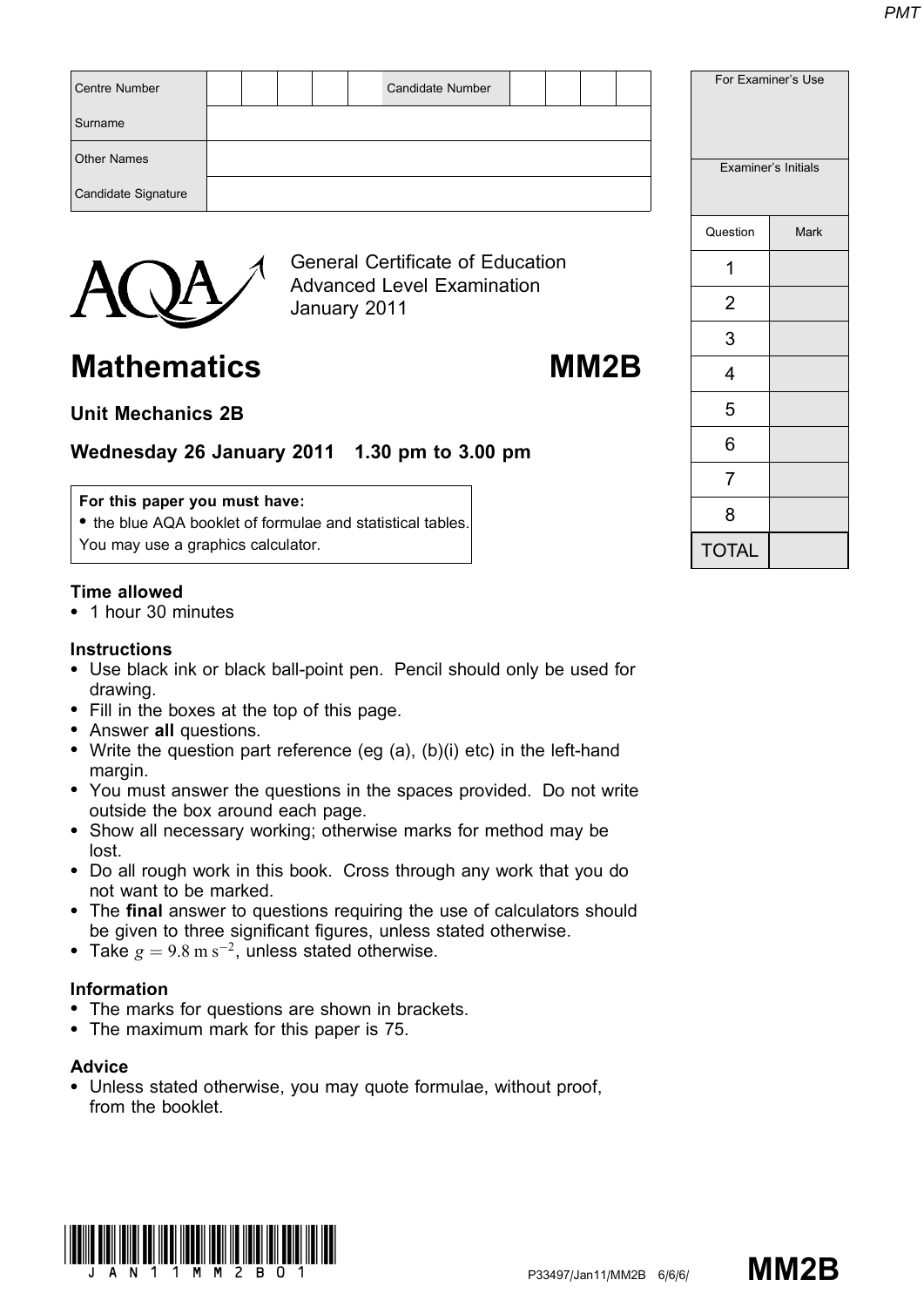| Centre Number       |                            |  | <b>Candidate Number</b>                 |  |  | For Examiner's Use |                     |
|---------------------|----------------------------|--|-----------------------------------------|--|--|--------------------|---------------------|
| Surname             |                            |  |                                         |  |  |                    |                     |
| <b>Other Names</b>  |                            |  |                                         |  |  |                    | Examiner's Initials |
| Candidate Signature |                            |  |                                         |  |  |                    |                     |
|                     |                            |  |                                         |  |  | Question           | Mark                |
|                     | $\boldsymbol{\mathcal{A}}$ |  | <b>General Certificate of Education</b> |  |  |                    |                     |



General Certificate of Education Advanced Level Examination January 2011

# Mathematics MM2B

# Unit Mechanics 2B

# Wednesday 26 January 2011 1.30 pm to 3.00 pm

#### For this paper you must have:

• the blue AQA booklet of formulae and statistical tables. You may use a graphics calculator.

### Time allowed

\* 1 hour 30 minutes

#### **Instructions**

- Use black ink or black ball-point pen. Pencil should only be used for drawing.
- Fill in the boxes at the top of this page.
- Answer all questions.
- Write the question part reference (eg  $(a)$ ,  $(b)(i)$  etc) in the left-hand margin.
- \* You must answer the questions in the spaces provided. Do not write outside the box around each page.
- \* Show all necessary working; otherwise marks for method may be lost.
- Do all rough work in this book. Cross through any work that you do not want to be marked.
- The final answer to questions requiring the use of calculators should be given to three significant figures, unless stated otherwise.
- Take  $g = 9.8 \text{ m s}^{-2}$ , unless stated otherwise.

### Information

- The marks for questions are shown in brackets.
- The maximum mark for this paper is 75.

#### Advice

\* Unless stated otherwise, you may quote formulae, without proof, from the booklet.





|                | Examiner's Initials |
|----------------|---------------------|
| Question       | <b>Mark</b>         |
| 1              |                     |
| $\overline{2}$ |                     |
| 3              |                     |
| 4              |                     |
| 5              |                     |
| 6              |                     |
| $\overline{7}$ |                     |
| 8              |                     |
| <b>TOTAL</b>   |                     |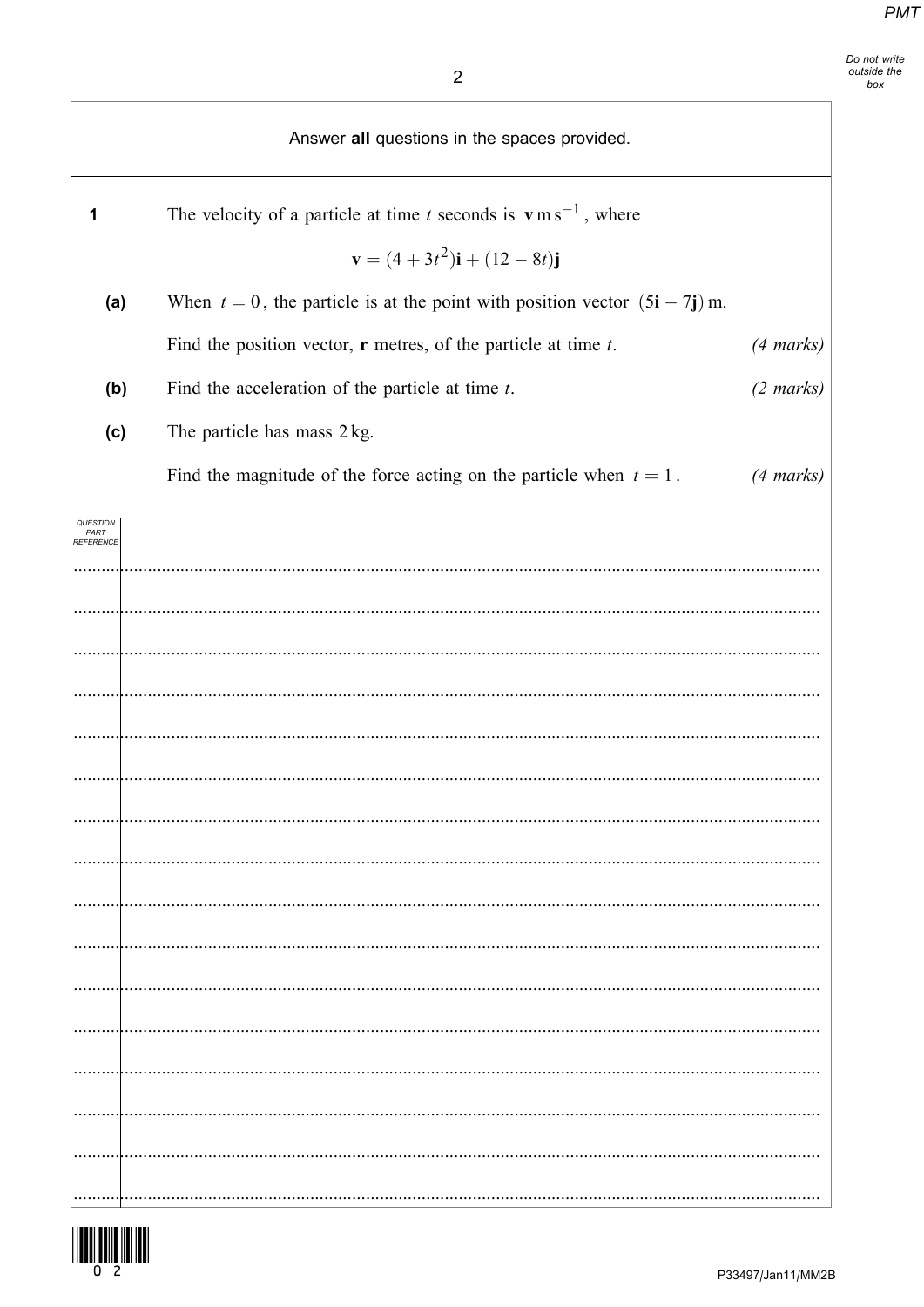

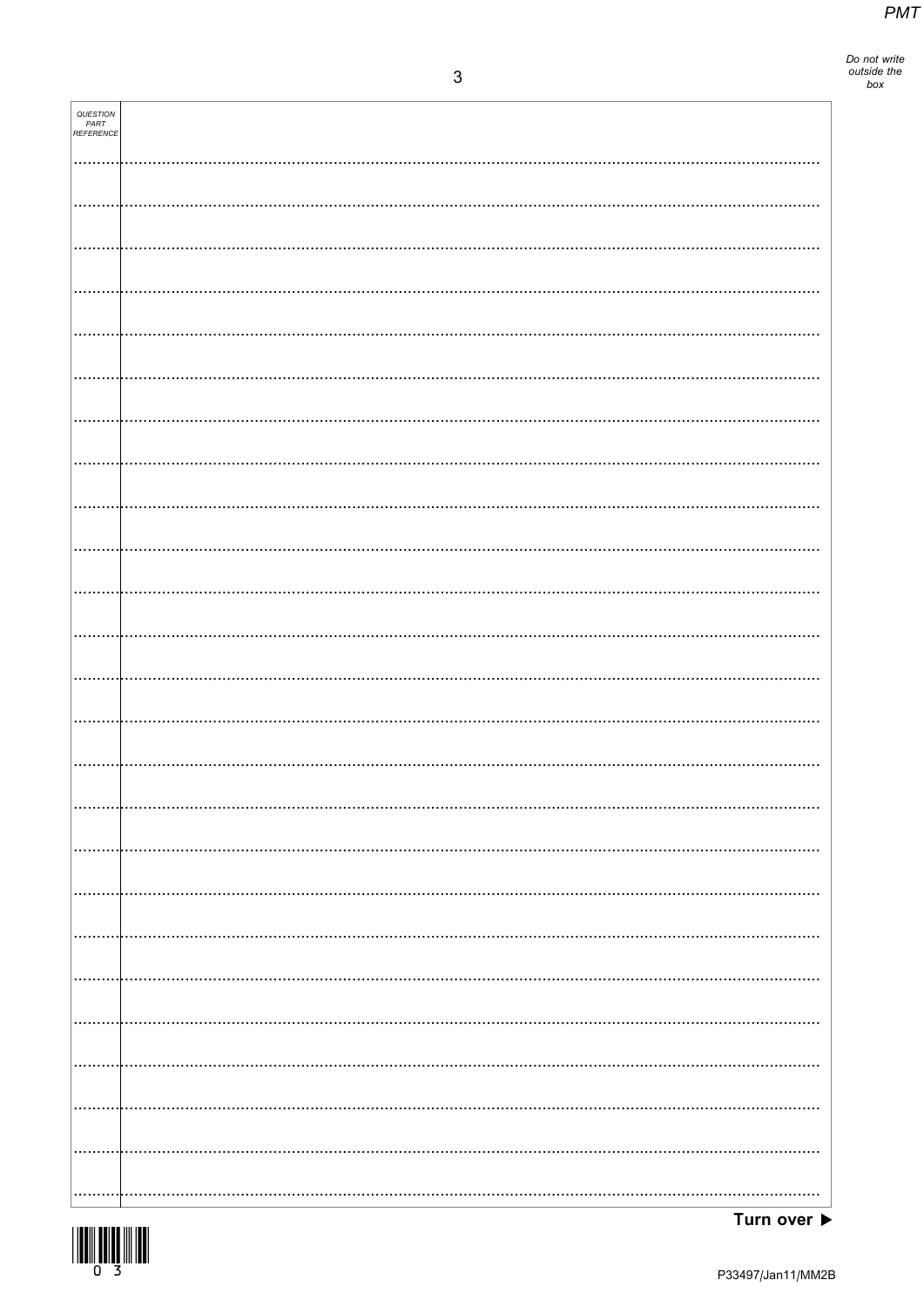| QUESTION<br>PART<br>REFERENCE |  |
|-------------------------------|--|
|                               |  |
|                               |  |
|                               |  |
|                               |  |
|                               |  |
|                               |  |
|                               |  |
|                               |  |
|                               |  |
|                               |  |
|                               |  |
|                               |  |
|                               |  |
|                               |  |
|                               |  |
|                               |  |
|                               |  |
|                               |  |
| . .                           |  |
|                               |  |
|                               |  |
|                               |  |
|                               |  |
|                               |  |

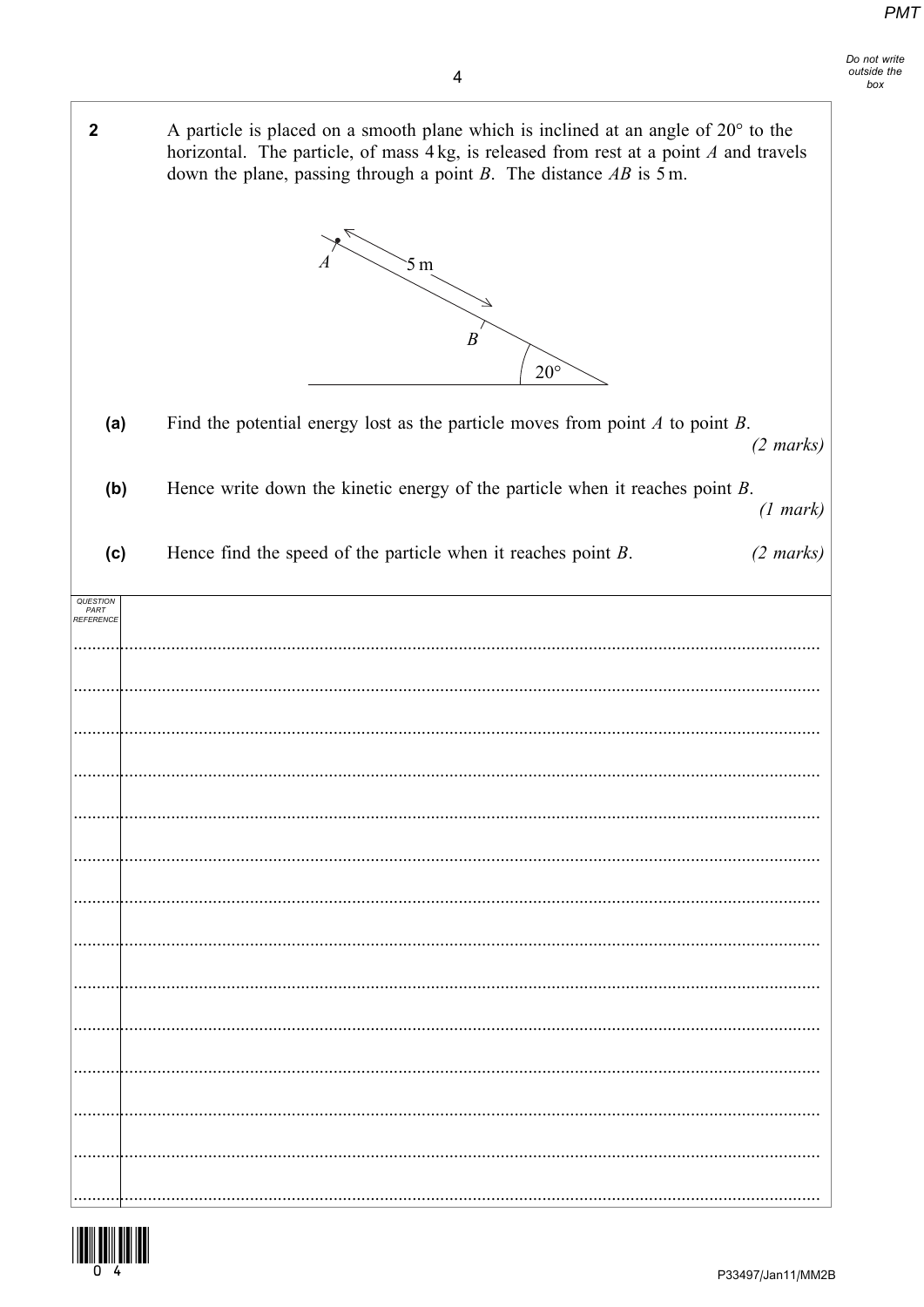A particle is placed on a smooth plane which is inclined at an angle of  $20^{\circ}$  to the

|                               | horizontal. The particle, of mass $4 \text{ kg}$ , is released from rest at a point $A$ and travels<br>down the plane, passing through a point $B$ . The distance $AB$ is 5 m. |                     |
|-------------------------------|--------------------------------------------------------------------------------------------------------------------------------------------------------------------------------|---------------------|
|                               | $\sim$ 5 m                                                                                                                                                                     |                     |
|                               | 7<br>$\boldsymbol{B}$<br>$20^{\circ}$                                                                                                                                          |                     |
| (a)                           | Find the potential energy lost as the particle moves from point $A$ to point $B$ .                                                                                             | $(2 \text{ marks})$ |
| (b)                           | Hence write down the kinetic energy of the particle when it reaches point $B$ .                                                                                                | $(1 \text{ mark})$  |
| (c)                           | Hence find the speed of the particle when it reaches point $B$ .                                                                                                               | $(2 \text{ marks})$ |
| QUESTION<br>PART<br>REFERENCE |                                                                                                                                                                                |                     |
|                               |                                                                                                                                                                                |                     |
|                               |                                                                                                                                                                                |                     |
|                               |                                                                                                                                                                                |                     |
|                               |                                                                                                                                                                                |                     |
|                               |                                                                                                                                                                                |                     |
|                               |                                                                                                                                                                                |                     |
|                               |                                                                                                                                                                                |                     |
|                               |                                                                                                                                                                                |                     |
|                               |                                                                                                                                                                                |                     |



 $\overline{\mathbf{2}}$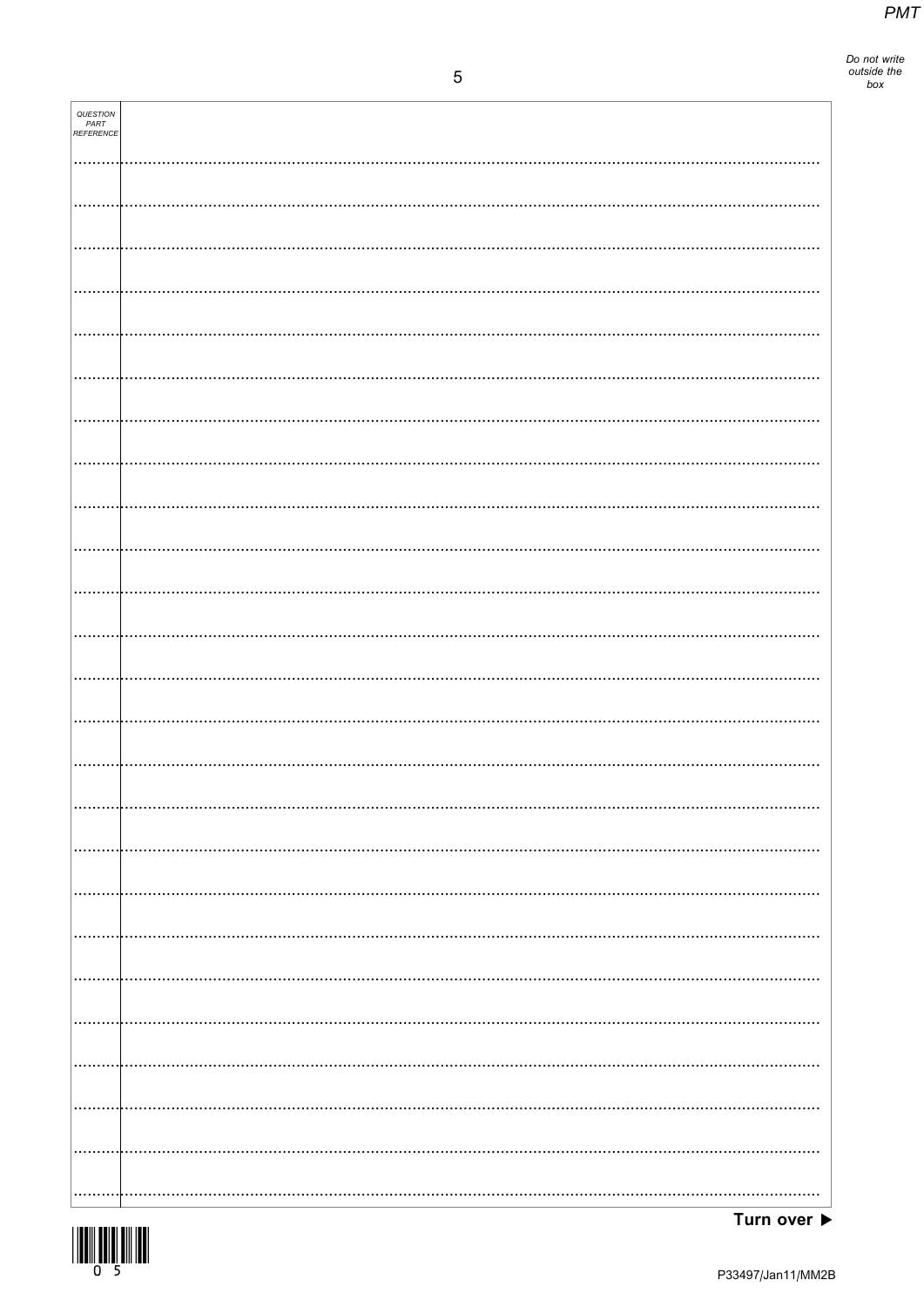| QUESTION<br>PART<br>REFERENCE |  |
|-------------------------------|--|
|                               |  |
|                               |  |
|                               |  |
|                               |  |
|                               |  |
|                               |  |
|                               |  |
|                               |  |
|                               |  |
|                               |  |
|                               |  |
|                               |  |
|                               |  |
|                               |  |
|                               |  |
|                               |  |
|                               |  |
|                               |  |
| . .                           |  |
|                               |  |
|                               |  |
|                               |  |
|                               |  |
|                               |  |

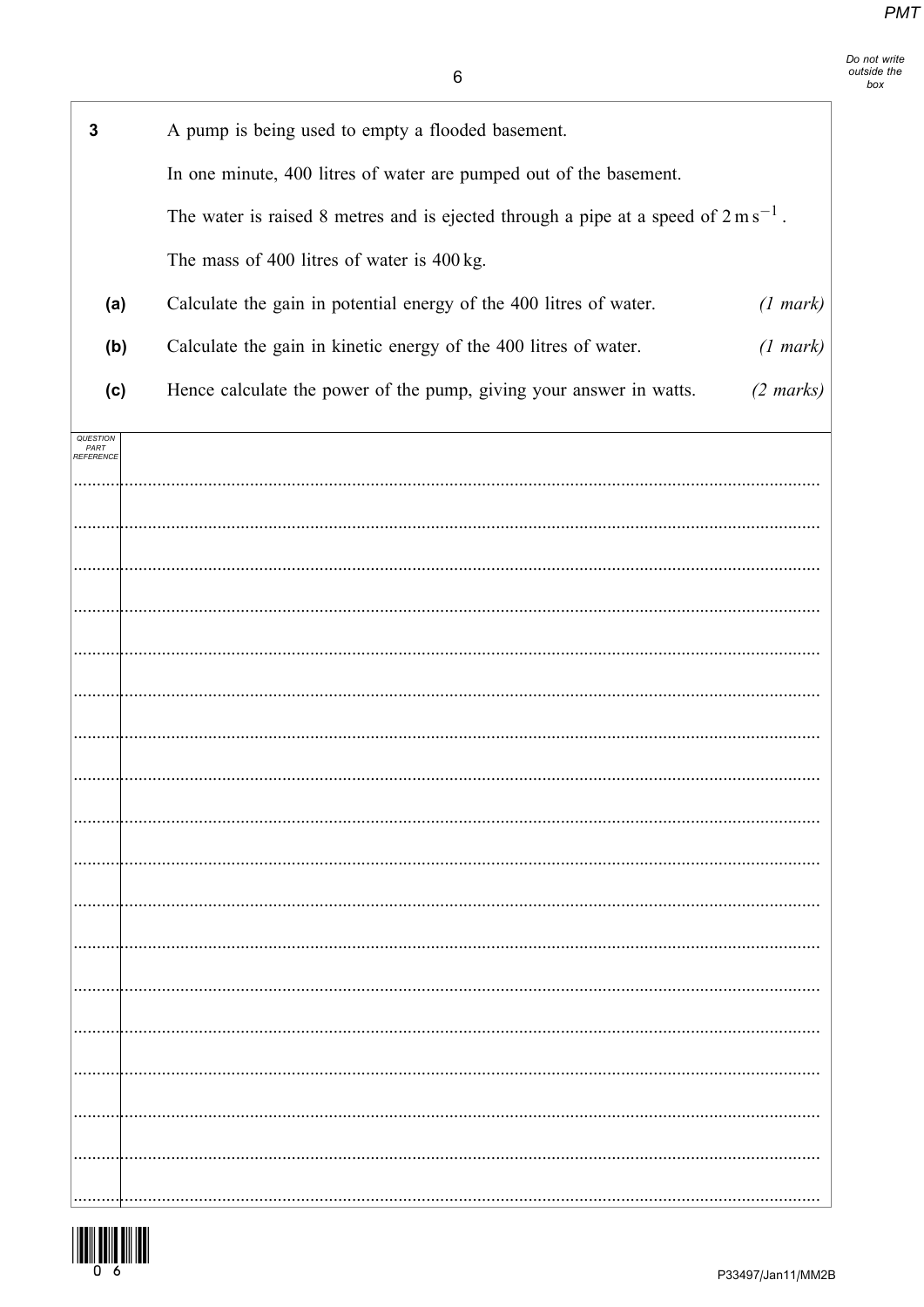| 3                 | A pump is being used to empty a flooded basement.                                               |  |
|-------------------|-------------------------------------------------------------------------------------------------|--|
|                   | In one minute, 400 litres of water are pumped out of the basement.                              |  |
|                   | The water is raised 8 metres and is ejected through a pipe at a speed of $2 \text{ m s}^{-1}$ . |  |
|                   | The mass of 400 litres of water is 400 kg.                                                      |  |
| (a)               | Calculate the gain in potential energy of the 400 litres of water.<br>(1 mark)                  |  |
| (b)               | Calculate the gain in kinetic energy of the 400 litres of water.<br>$(1 \text{ mark})$          |  |
| (c)               | Hence calculate the power of the pump, giving your answer in watts.<br>$(2 \text{ marks})$      |  |
| QUESTION          |                                                                                                 |  |
| PART<br>REFERENCE |                                                                                                 |  |
|                   |                                                                                                 |  |
|                   |                                                                                                 |  |
|                   |                                                                                                 |  |
|                   |                                                                                                 |  |
|                   |                                                                                                 |  |
|                   |                                                                                                 |  |
|                   |                                                                                                 |  |
|                   |                                                                                                 |  |
|                   |                                                                                                 |  |
|                   |                                                                                                 |  |
|                   |                                                                                                 |  |
|                   |                                                                                                 |  |
|                   |                                                                                                 |  |
|                   |                                                                                                 |  |
|                   |                                                                                                 |  |
|                   |                                                                                                 |  |
|                   |                                                                                                 |  |
|                   |                                                                                                 |  |
|                   |                                                                                                 |  |
|                   |                                                                                                 |  |

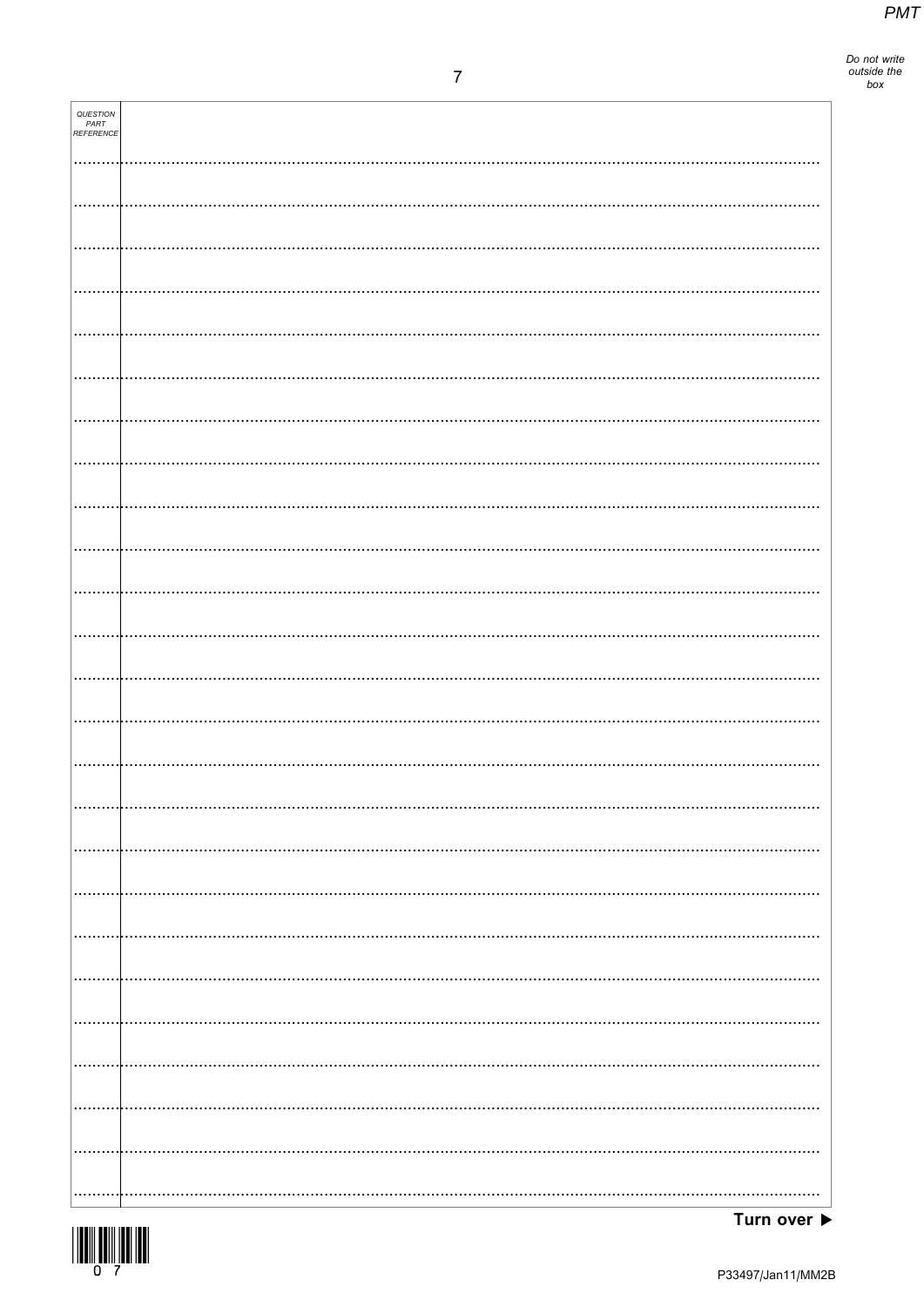Do not write<br>outside the<br>box

| QUESTION<br>PART<br>REFERENCE |  |
|-------------------------------|--|
|                               |  |
|                               |  |
|                               |  |
|                               |  |
|                               |  |
|                               |  |
|                               |  |
|                               |  |
|                               |  |
|                               |  |
|                               |  |
|                               |  |
|                               |  |
|                               |  |
|                               |  |
|                               |  |
|                               |  |
|                               |  |
|                               |  |
|                               |  |
|                               |  |
|                               |  |
|                               |  |
|                               |  |
|                               |  |
|                               |  |



Turn over ▶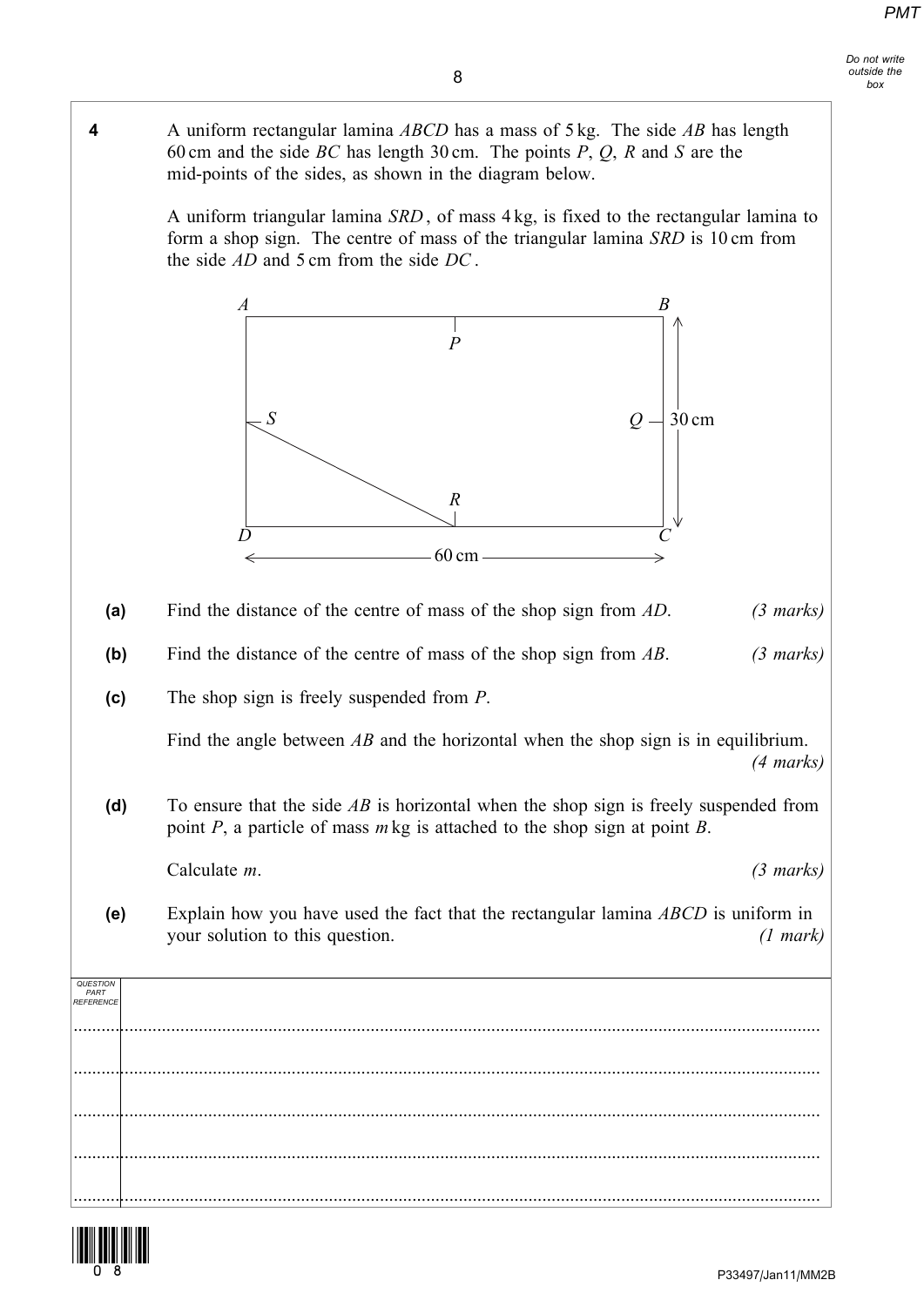4 A uniform rectangular lamina *ABCD* has a mass of 5 kg. The side *AB* has length 60 cm and the side BC has length 30 cm. The points  $P$ ,  $Q$ ,  $R$  and  $S$  are the mid-points of the sides, as shown in the diagram below. A uniform triangular lamina SRD , of mass 4 kg, is fixed to the rectangular lamina to form a shop sign. The centre of mass of the triangular lamina SRD is 10 cm from the side AD and 5 cm from the side DC. (a) Find the distance of the centre of mass of the shop sign from  $AD$ . (3 marks) (b) Find the distance of the centre of mass of the shop sign from  $AB$ . (3 marks) (c) The shop sign is freely suspended from P. Find the angle between AB and the horizontal when the shop sign is in equilibrium. (4 marks) (d) To ensure that the side  $AB$  is horizontal when the shop sign is freely suspended from point P, a particle of mass  $m \text{ kg}$  is attached to the shop sign at point B. Calculate m. (3 marks) (e) Explain how you have used the fact that the rectangular lamina ABCD is uniform in your solution to this question. (1 mark) ................................................................................................................................................................. ................................................................................................................................................................. ................................................................................................................................................................. ................................................................................................................................................................. QUESTION PART REFERENCE  $A$  B P S R  $Q - 30$  cm 60 cm  $D$  contracts to the contract of  $C$ 

.................................................................................................................................................................

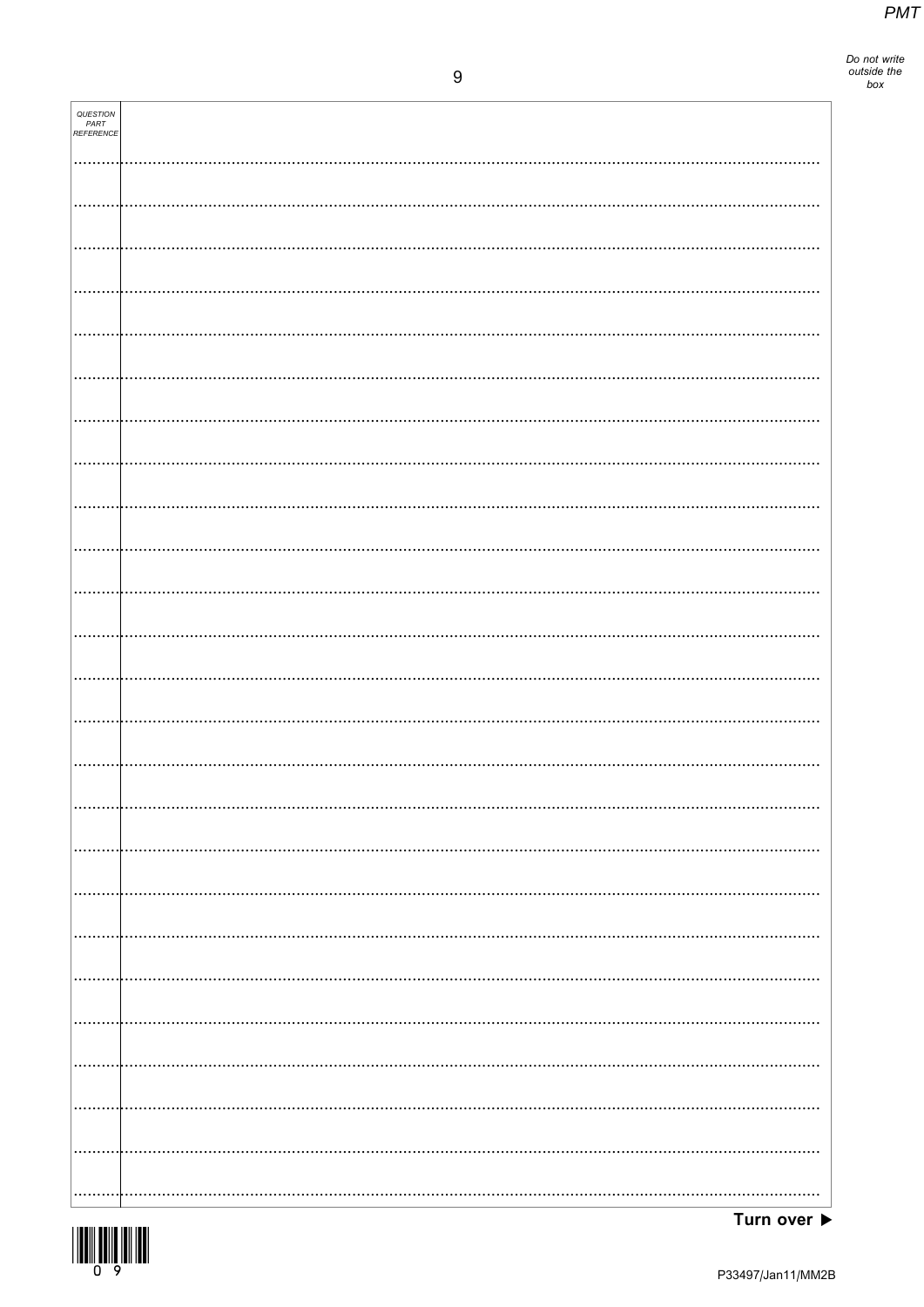| QUESTION<br>PART<br>REFERENCE |  |
|-------------------------------|--|
|                               |  |
|                               |  |
|                               |  |
|                               |  |
|                               |  |
|                               |  |
|                               |  |
|                               |  |
|                               |  |
|                               |  |
|                               |  |
|                               |  |
|                               |  |
|                               |  |
|                               |  |
|                               |  |
|                               |  |
|                               |  |
|                               |  |
|                               |  |
|                               |  |
|                               |  |
|                               |  |
|                               |  |
|                               |  |
|                               |  |
|                               |  |
|                               |  |
|                               |  |
|                               |  |
|                               |  |
|                               |  |
|                               |  |
|                               |  |
|                               |  |
|                               |  |
|                               |  |
|                               |  |
|                               |  |
|                               |  |
|                               |  |
|                               |  |
|                               |  |
|                               |  |
|                               |  |
|                               |  |
|                               |  |
|                               |  |
|                               |  |
|                               |  |
|                               |  |
|                               |  |
|                               |  |
|                               |  |
|                               |  |
|                               |  |
|                               |  |
|                               |  |
|                               |  |
|                               |  |
|                               |  |
|                               |  |
|                               |  |
|                               |  |
|                               |  |
|                               |  |
|                               |  |
|                               |  |
|                               |  |
|                               |  |
|                               |  |
|                               |  |
|                               |  |
|                               |  |
|                               |  |
|                               |  |
|                               |  |
|                               |  |
|                               |  |
|                               |  |
|                               |  |
|                               |  |
|                               |  |
|                               |  |
|                               |  |
|                               |  |
|                               |  |
|                               |  |
|                               |  |
|                               |  |
|                               |  |
|                               |  |
|                               |  |
|                               |  |
|                               |  |
|                               |  |
|                               |  |
|                               |  |
|                               |  |
|                               |  |
|                               |  |
|                               |  |
|                               |  |
|                               |  |
|                               |  |
|                               |  |
|                               |  |
|                               |  |
|                               |  |
|                               |  |
|                               |  |
|                               |  |
|                               |  |
|                               |  |
|                               |  |
|                               |  |
|                               |  |
|                               |  |
|                               |  |
|                               |  |
|                               |  |
|                               |  |
|                               |  |
|                               |  |
|                               |  |
|                               |  |

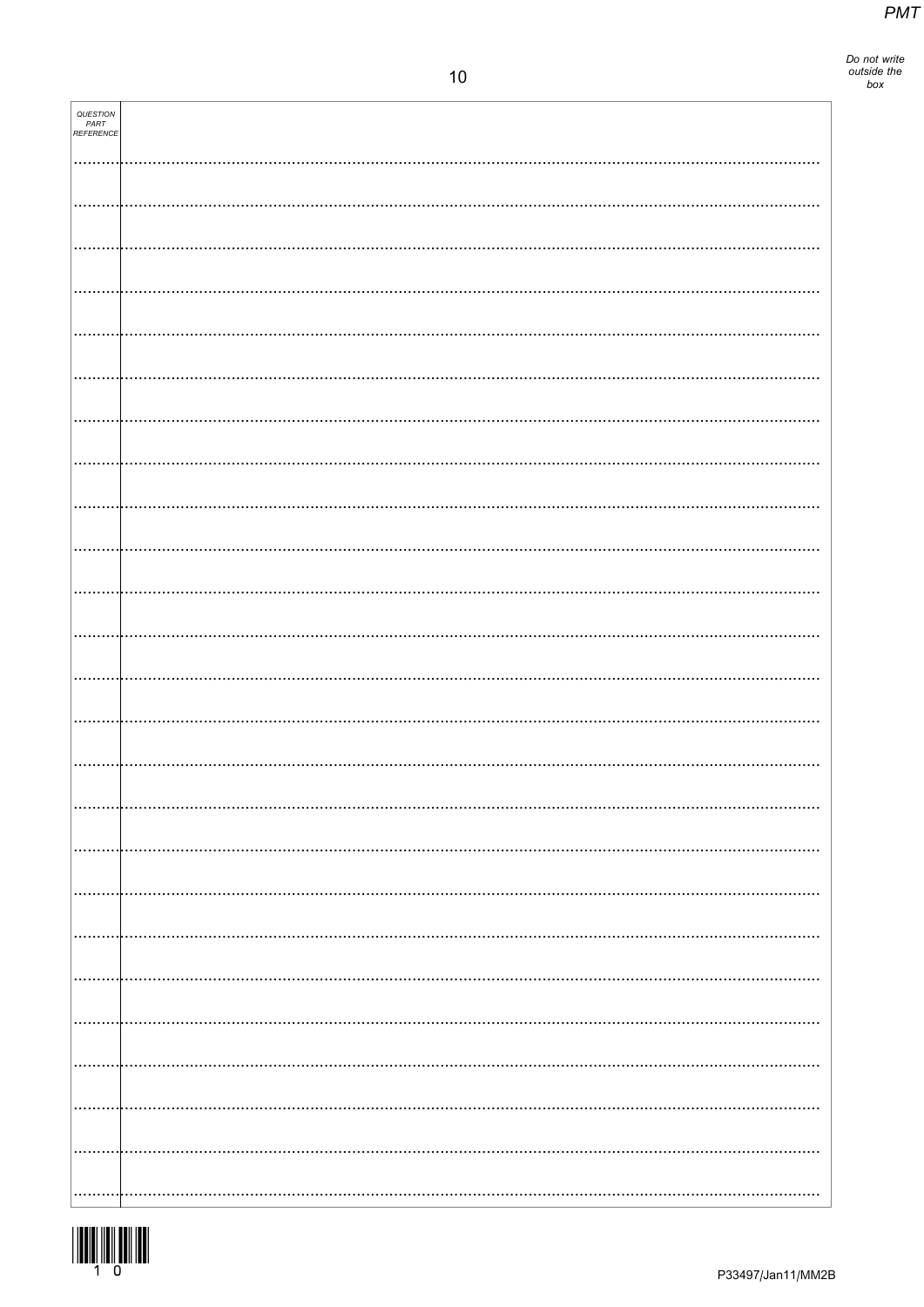| QUESTION<br>PART<br>REFERENCE |  |
|-------------------------------|--|
|                               |  |
|                               |  |
|                               |  |
|                               |  |
|                               |  |
|                               |  |
|                               |  |
|                               |  |
|                               |  |
|                               |  |
|                               |  |
|                               |  |
|                               |  |
|                               |  |
|                               |  |
|                               |  |
|                               |  |
|                               |  |
|                               |  |
|                               |  |
|                               |  |
|                               |  |
|                               |  |
|                               |  |
|                               |  |
|                               |  |
|                               |  |
|                               |  |
|                               |  |
|                               |  |
|                               |  |
|                               |  |
|                               |  |
|                               |  |
|                               |  |
|                               |  |
|                               |  |
|                               |  |
|                               |  |
|                               |  |
|                               |  |
|                               |  |
|                               |  |
|                               |  |
|                               |  |
|                               |  |
|                               |  |
|                               |  |
|                               |  |
|                               |  |
|                               |  |
|                               |  |
|                               |  |
|                               |  |
|                               |  |
|                               |  |
|                               |  |
|                               |  |
|                               |  |
|                               |  |
|                               |  |
|                               |  |
|                               |  |
|                               |  |
|                               |  |
|                               |  |
|                               |  |
|                               |  |
|                               |  |
|                               |  |
|                               |  |
|                               |  |
|                               |  |
|                               |  |
|                               |  |
|                               |  |
|                               |  |
|                               |  |
|                               |  |
|                               |  |
|                               |  |
|                               |  |
|                               |  |
|                               |  |
|                               |  |
|                               |  |
|                               |  |
|                               |  |
|                               |  |
|                               |  |
|                               |  |
|                               |  |
|                               |  |
|                               |  |
|                               |  |
|                               |  |
|                               |  |
|                               |  |
|                               |  |
|                               |  |
|                               |  |
|                               |  |
|                               |  |
|                               |  |
|                               |  |
|                               |  |
|                               |  |
|                               |  |
|                               |  |
|                               |  |
|                               |  |
|                               |  |
|                               |  |
|                               |  |
|                               |  |
|                               |  |
|                               |  |
|                               |  |
|                               |  |

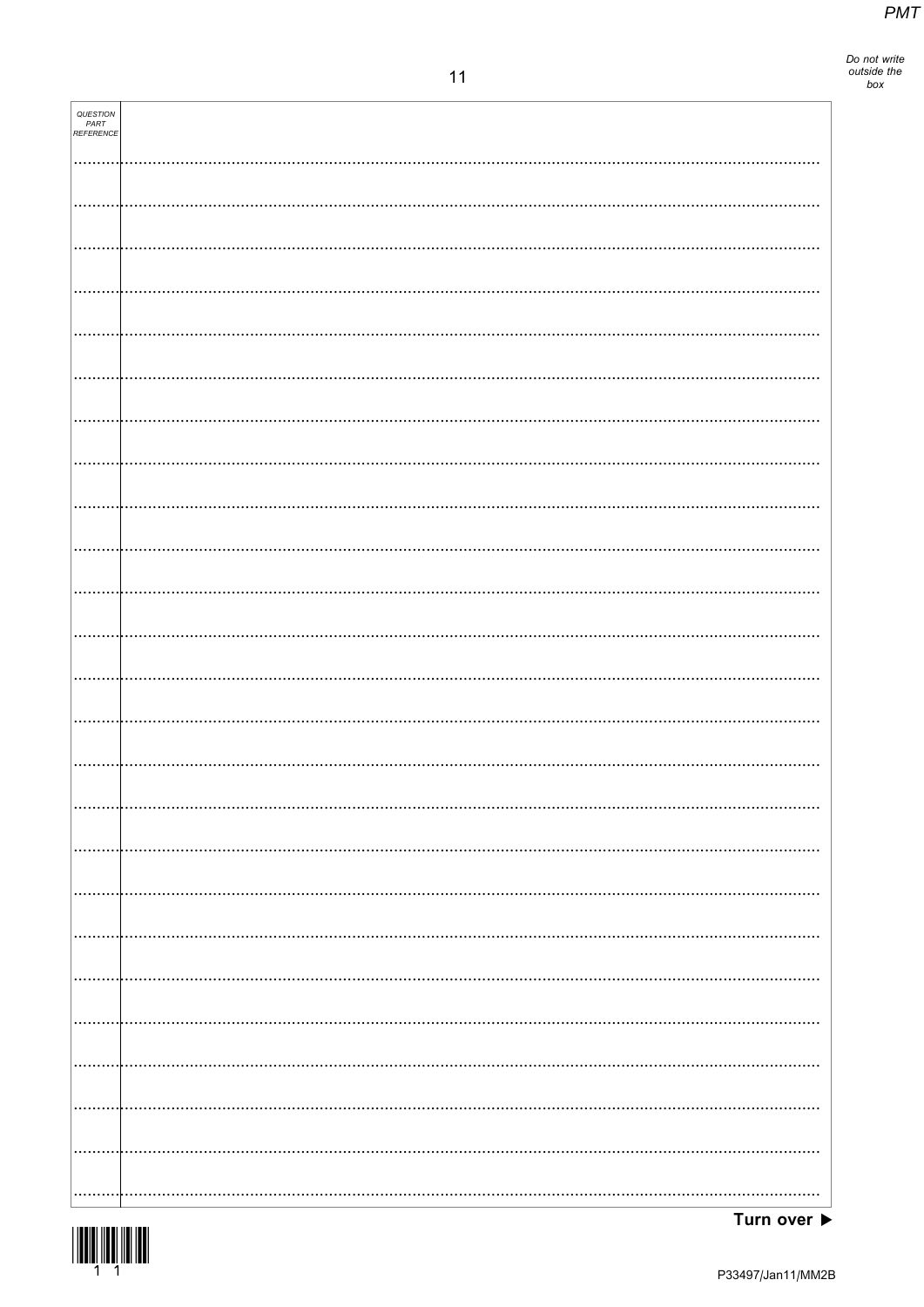| QUESTION<br>PART<br>REFERENCE |  |
|-------------------------------|--|
|                               |  |
|                               |  |
|                               |  |
|                               |  |
|                               |  |
|                               |  |
|                               |  |
|                               |  |
|                               |  |
|                               |  |
|                               |  |
|                               |  |
|                               |  |
|                               |  |
|                               |  |
|                               |  |
|                               |  |
|                               |  |
|                               |  |
|                               |  |
|                               |  |
|                               |  |
|                               |  |
|                               |  |

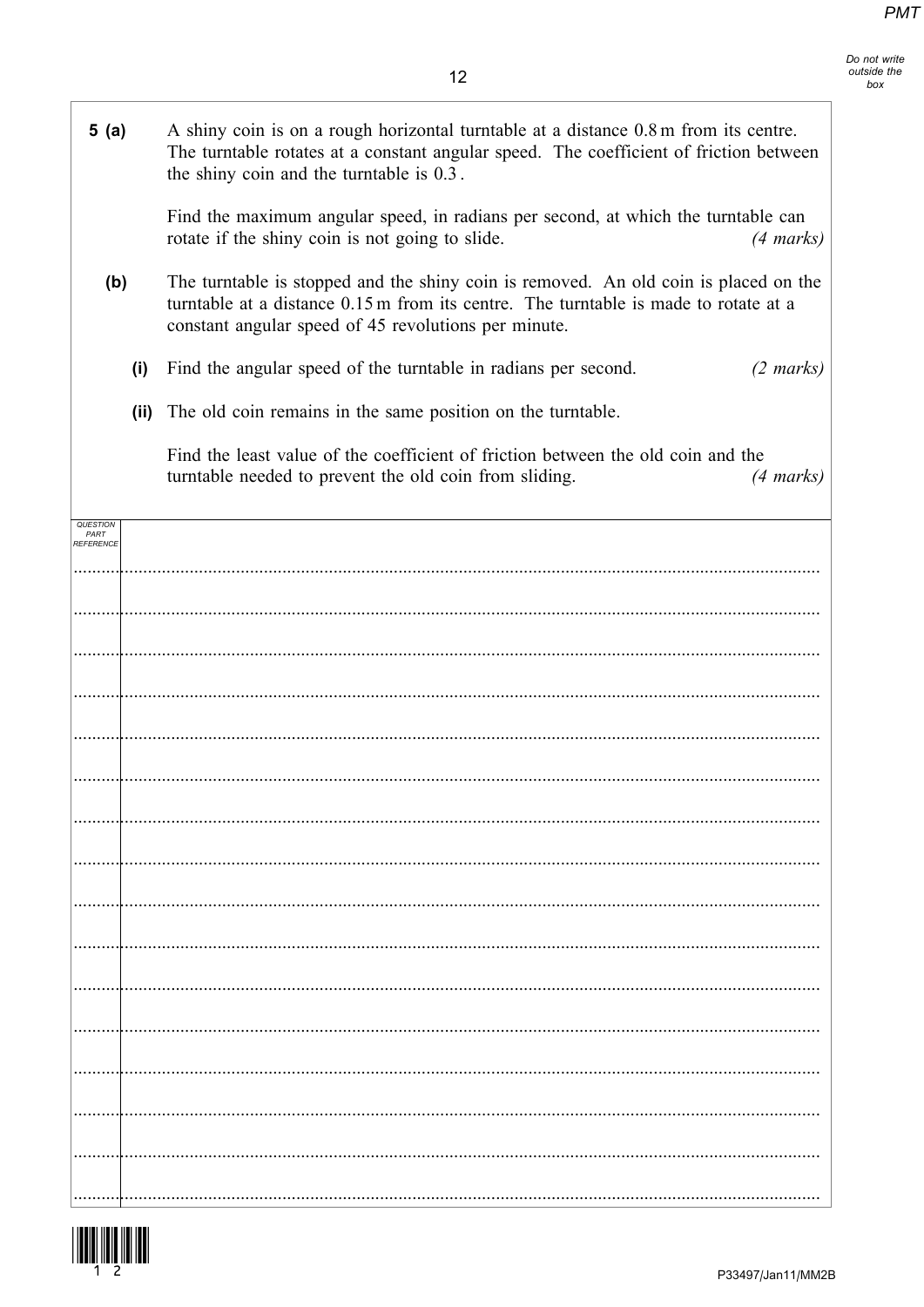Do not write outside the

 $box$ 

the shiny coin and the turntable is 0.3.

A shiny coin is on a rough horizontal turntable at a distance 0.8 m from its centre.

The turntable rotates at a constant angular speed. The coefficient of friction between

|                   |      | Find the maximum angular speed, in radians per second, at which the turntable can<br>rotate if the shiny coin is not going to slide.                                                                                                 | $(4 \text{ marks})$ |
|-------------------|------|--------------------------------------------------------------------------------------------------------------------------------------------------------------------------------------------------------------------------------------|---------------------|
| (b)               |      | The turntable is stopped and the shiny coin is removed. An old coin is placed on the<br>turntable at a distance 0.15 m from its centre. The turntable is made to rotate at a<br>constant angular speed of 45 revolutions per minute. |                     |
|                   | (i)  | Find the angular speed of the turntable in radians per second.                                                                                                                                                                       | $(2 \text{ marks})$ |
|                   | (ii) | The old coin remains in the same position on the turntable.                                                                                                                                                                          |                     |
|                   |      | Find the least value of the coefficient of friction between the old coin and the<br>turntable needed to prevent the old coin from sliding.                                                                                           | $(4 \text{ marks})$ |
| PART<br>REFERENCE |      |                                                                                                                                                                                                                                      |                     |
|                   |      |                                                                                                                                                                                                                                      |                     |
|                   |      |                                                                                                                                                                                                                                      |                     |
|                   |      |                                                                                                                                                                                                                                      |                     |
|                   |      |                                                                                                                                                                                                                                      |                     |
|                   |      |                                                                                                                                                                                                                                      |                     |
|                   |      |                                                                                                                                                                                                                                      |                     |
|                   |      |                                                                                                                                                                                                                                      |                     |
|                   |      |                                                                                                                                                                                                                                      |                     |
|                   |      |                                                                                                                                                                                                                                      |                     |
|                   |      |                                                                                                                                                                                                                                      |                     |
|                   |      |                                                                                                                                                                                                                                      |                     |
|                   |      |                                                                                                                                                                                                                                      |                     |
|                   |      |                                                                                                                                                                                                                                      |                     |



. . . . . . . . .

 $5(a)$ 

. . . . . .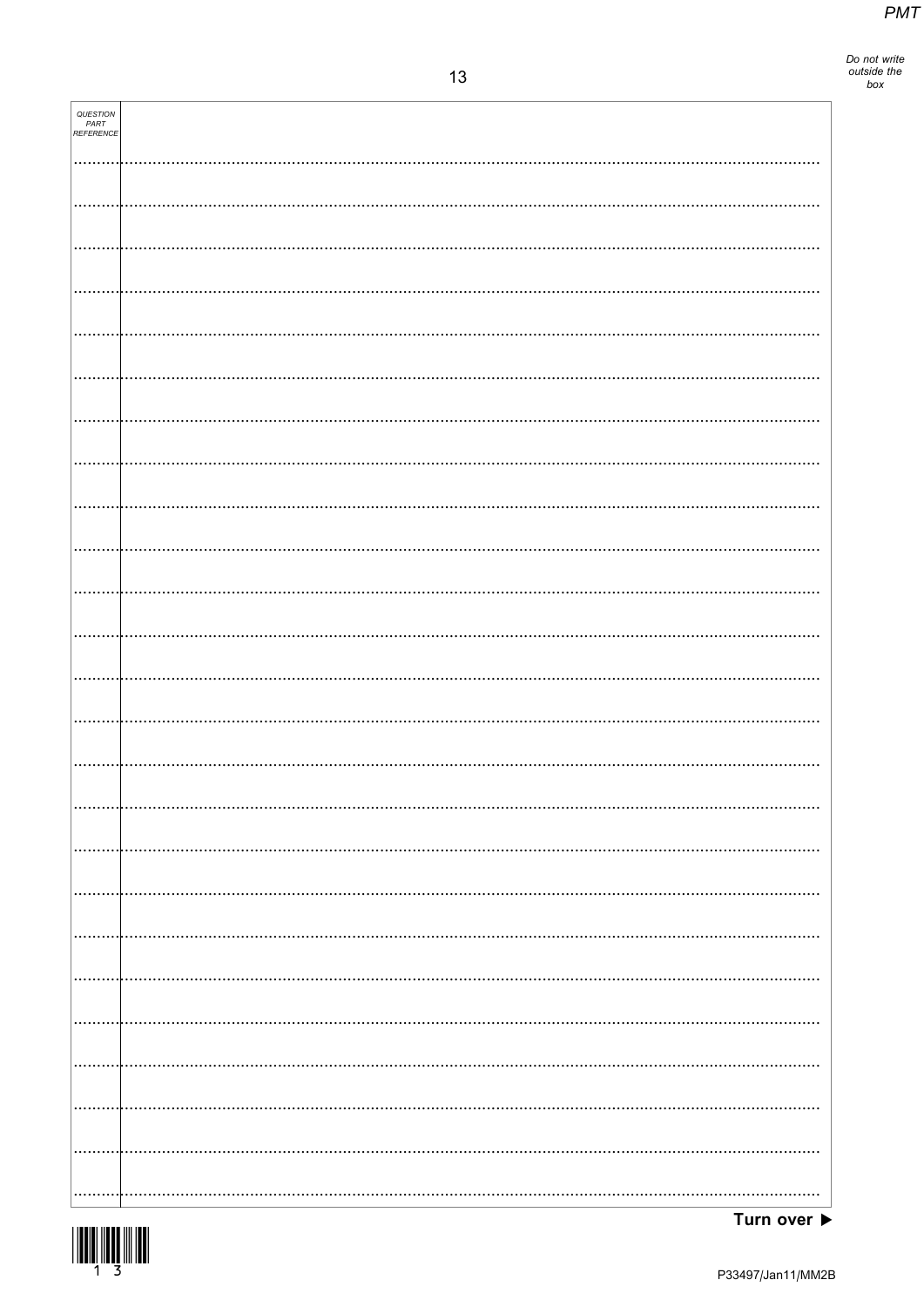Do not write<br>outside the<br>box

| QUESTION<br>PART<br>REFERENCE |  |
|-------------------------------|--|
|                               |  |
|                               |  |
|                               |  |
|                               |  |
|                               |  |
|                               |  |
|                               |  |
|                               |  |
|                               |  |
|                               |  |
|                               |  |
|                               |  |
|                               |  |
|                               |  |
|                               |  |
|                               |  |
|                               |  |
|                               |  |
|                               |  |
|                               |  |
|                               |  |
|                               |  |
|                               |  |
|                               |  |
|                               |  |
|                               |  |
|                               |  |
|                               |  |



Turn over ▶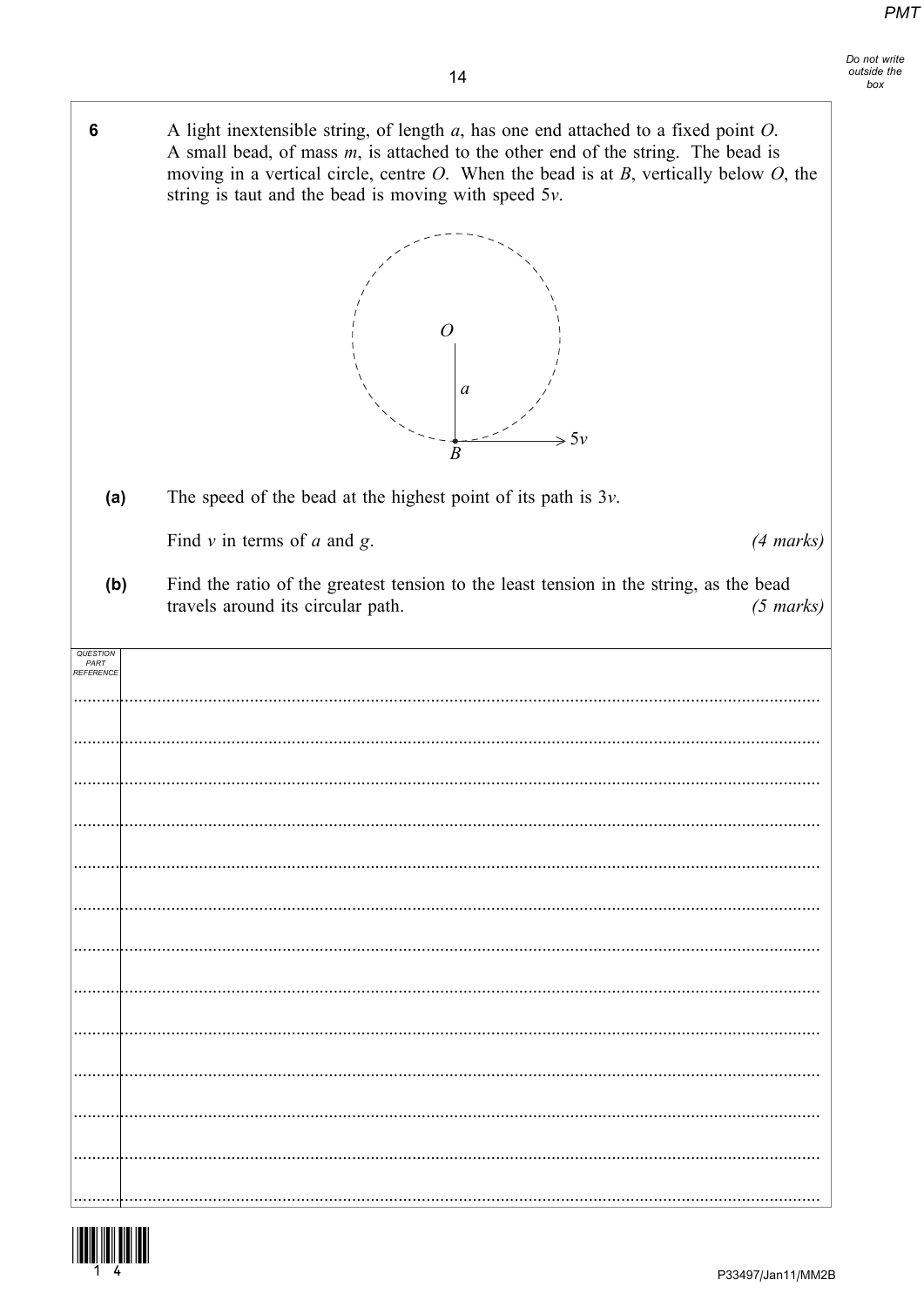A light inextensible string, of length  $a$ , has one end attached to a fixed point  $O$ .

|                               | A small bead, of mass $m$ , is attached to the other end of the string. The bead is<br>moving in a vertical circle, centre $O$ . When the bead is at $B$ , vertically below $O$ , the<br>string is taut and the bead is moving with speed $5v$ . |
|-------------------------------|--------------------------------------------------------------------------------------------------------------------------------------------------------------------------------------------------------------------------------------------------|
|                               | $\overline{O}$<br>$\boldsymbol{a}$<br>$\Rightarrow$ 5v<br>$\boldsymbol{B}$                                                                                                                                                                       |
| (a)                           | The speed of the bead at the highest point of its path is $3v$ .                                                                                                                                                                                 |
|                               | Find $v$ in terms of $a$ and $g$ .<br>$(4 \text{ marks})$                                                                                                                                                                                        |
| (b)                           | Find the ratio of the greatest tension to the least tension in the string, as the bead<br>travels around its circular path.<br>$(5 \text{ marks})$                                                                                               |
| QUESTION<br>PART<br>REFERENCE |                                                                                                                                                                                                                                                  |
|                               |                                                                                                                                                                                                                                                  |
|                               |                                                                                                                                                                                                                                                  |
|                               |                                                                                                                                                                                                                                                  |
|                               |                                                                                                                                                                                                                                                  |
|                               |                                                                                                                                                                                                                                                  |
|                               |                                                                                                                                                                                                                                                  |
|                               |                                                                                                                                                                                                                                                  |
|                               |                                                                                                                                                                                                                                                  |
|                               |                                                                                                                                                                                                                                                  |
|                               |                                                                                                                                                                                                                                                  |
|                               |                                                                                                                                                                                                                                                  |
|                               |                                                                                                                                                                                                                                                  |
|                               |                                                                                                                                                                                                                                                  |
|                               |                                                                                                                                                                                                                                                  |
|                               |                                                                                                                                                                                                                                                  |
|                               |                                                                                                                                                                                                                                                  |



 $6\phantom{a}$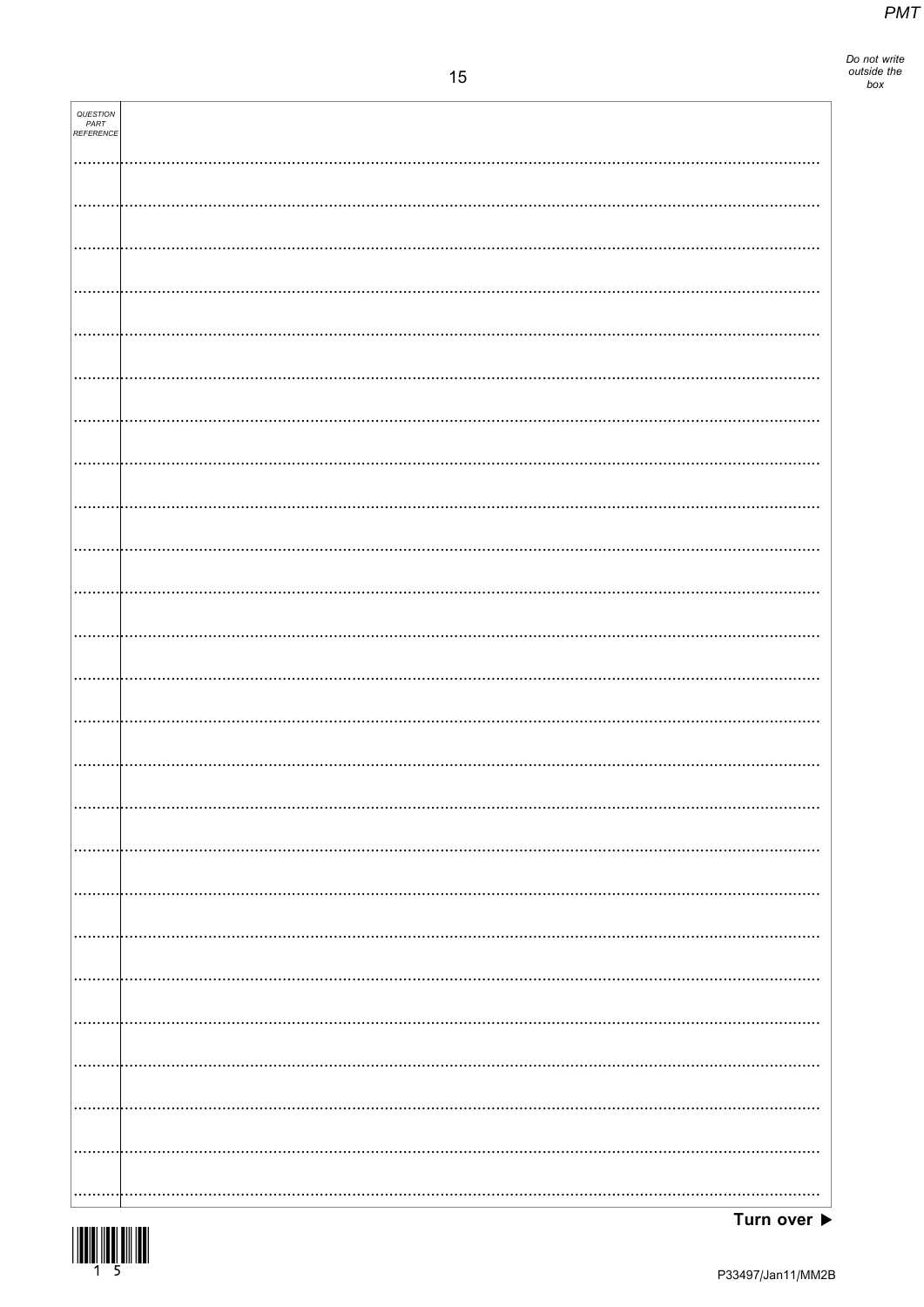Do not write<br>outside the<br>box

| QUESTION<br>PART<br>REFERENCE |  |
|-------------------------------|--|
|                               |  |
|                               |  |
|                               |  |
|                               |  |
|                               |  |
|                               |  |
|                               |  |
|                               |  |
|                               |  |
|                               |  |
|                               |  |
|                               |  |
|                               |  |
|                               |  |
|                               |  |
|                               |  |
|                               |  |
|                               |  |
|                               |  |
|                               |  |
|                               |  |
|                               |  |
|                               |  |
|                               |  |
|                               |  |
|                               |  |
|                               |  |



Turn over ▶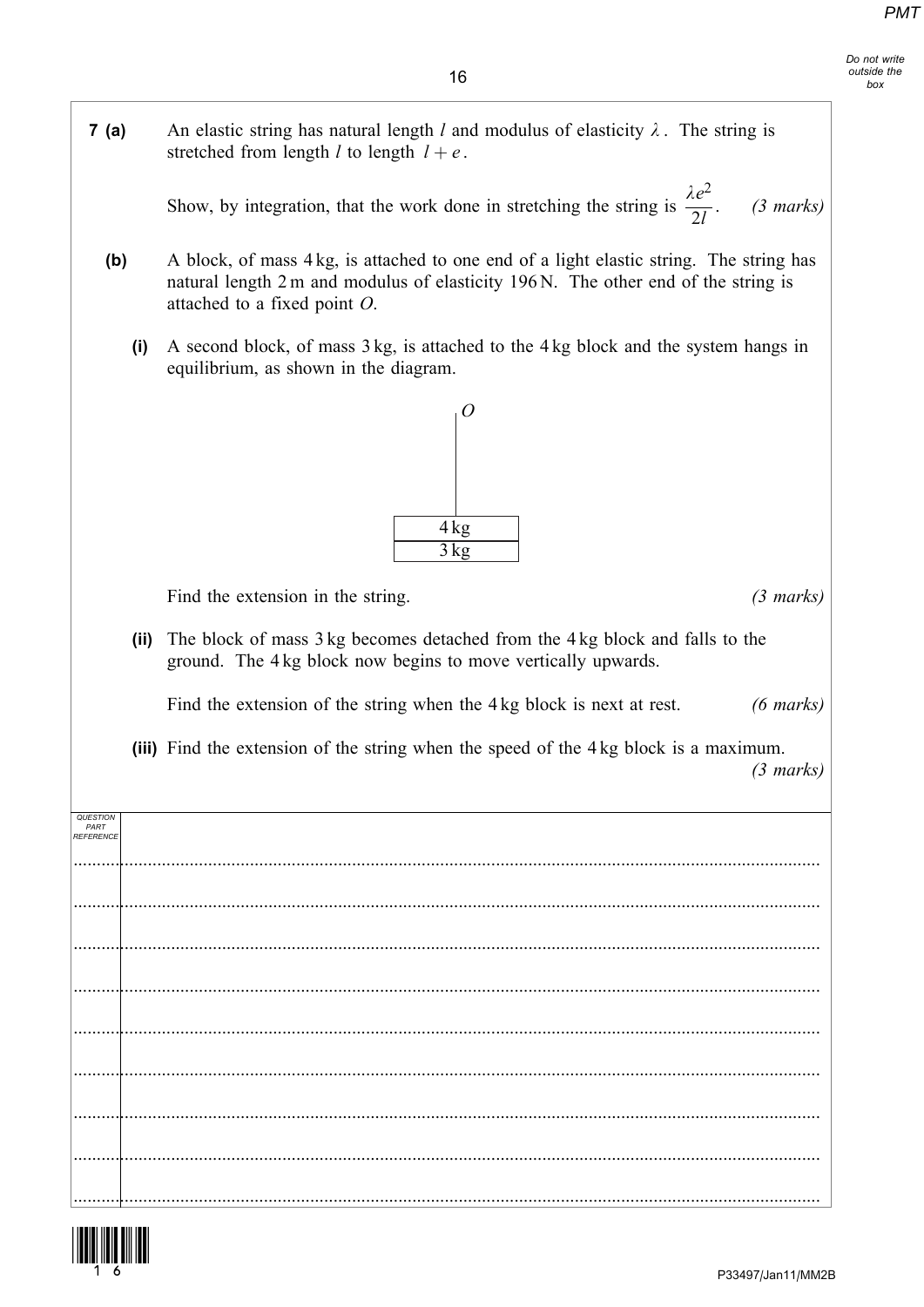Do not write outside the box

**7 (a)** An elastic string has natural length l and modulus of elasticity  $\lambda$ . The string is stretched from length l to length  $l + e$ .

> Show, by integration, that the work done in stretching the string is  $\frac{\lambda e^2}{2l}$ .  $(3$  marks)

- (b) A block, of mass 4 kg, is attached to one end of a light elastic string. The string has natural length 2 m and modulus of elasticity 196 N. The other end of the string is attached to a fixed point O.
	- (i) A second block, of mass 3 kg, is attached to the 4 kg block and the system hangs in equilibrium, as shown in the diagram.



Find the extension in the string. (3 marks)

(ii) The block of mass 3 kg becomes detached from the 4 kg block and falls to the ground. The 4 kg block now begins to move vertically upwards.

Find the extension of the string when the 4 kg block is next at rest. (6 marks)

(iii) Find the extension of the string when the speed of the 4 kg block is a maximum.

(3 marks)

................................................................................................................................................................. ................................................................................................................................................................. ................................................................................................................................................................. ................................................................................................................................................................. ................................................................................................................................................................. ................................................................................................................................................................. ................................................................................................................................................................. ................................................................................................................................................................. ................................................................................................................................................................. QUESTION PART REFERENCE

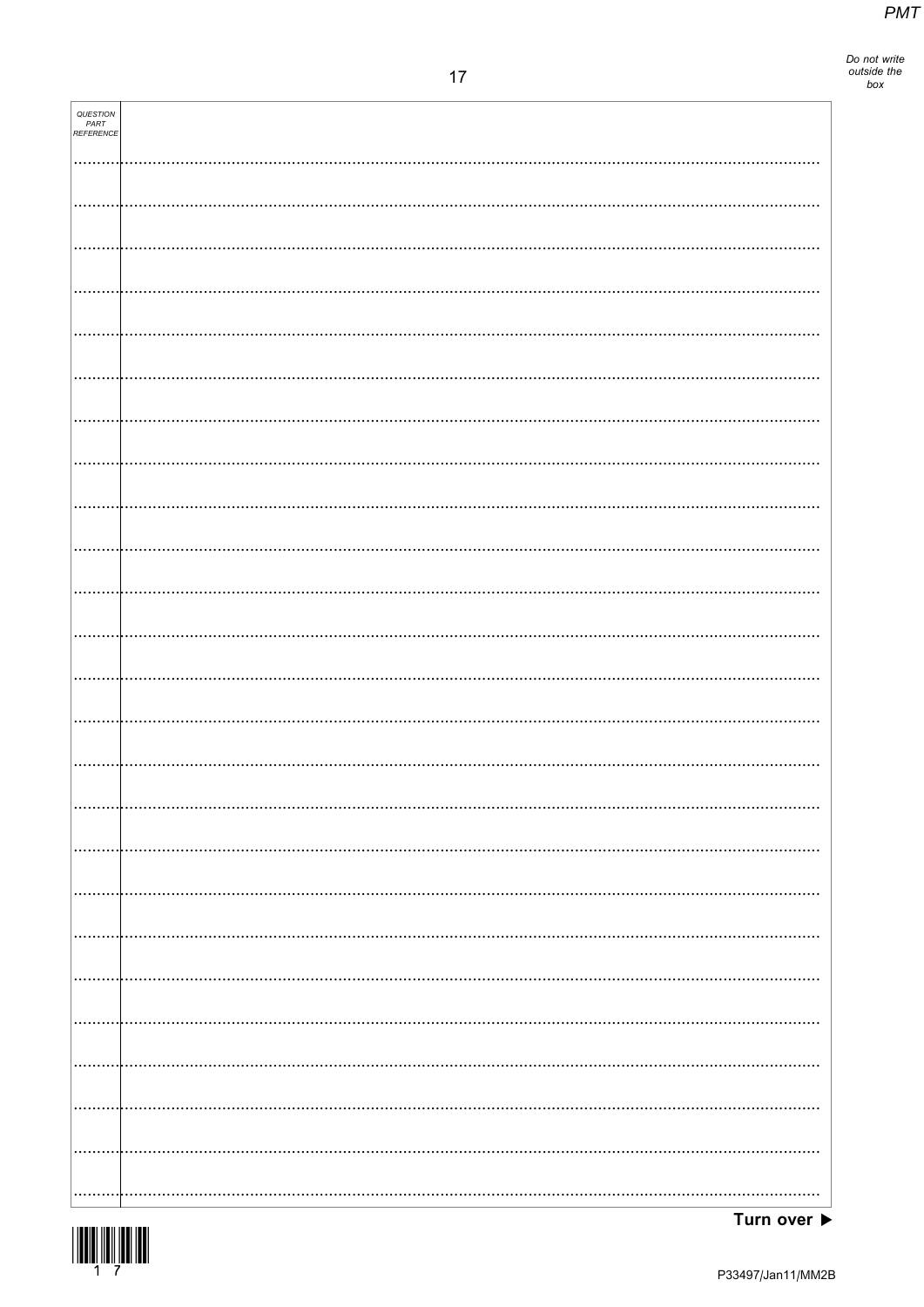Do not write<br>outside the<br>box

| QUESTION<br>PART<br>REFERENCE |  |
|-------------------------------|--|
|                               |  |
|                               |  |
|                               |  |
|                               |  |
|                               |  |
|                               |  |
|                               |  |
|                               |  |
|                               |  |
|                               |  |
|                               |  |
|                               |  |
|                               |  |
|                               |  |
|                               |  |
|                               |  |
|                               |  |
|                               |  |
|                               |  |
|                               |  |
|                               |  |
|                               |  |
|                               |  |
|                               |  |
|                               |  |



Turn over  $\blacktriangleright$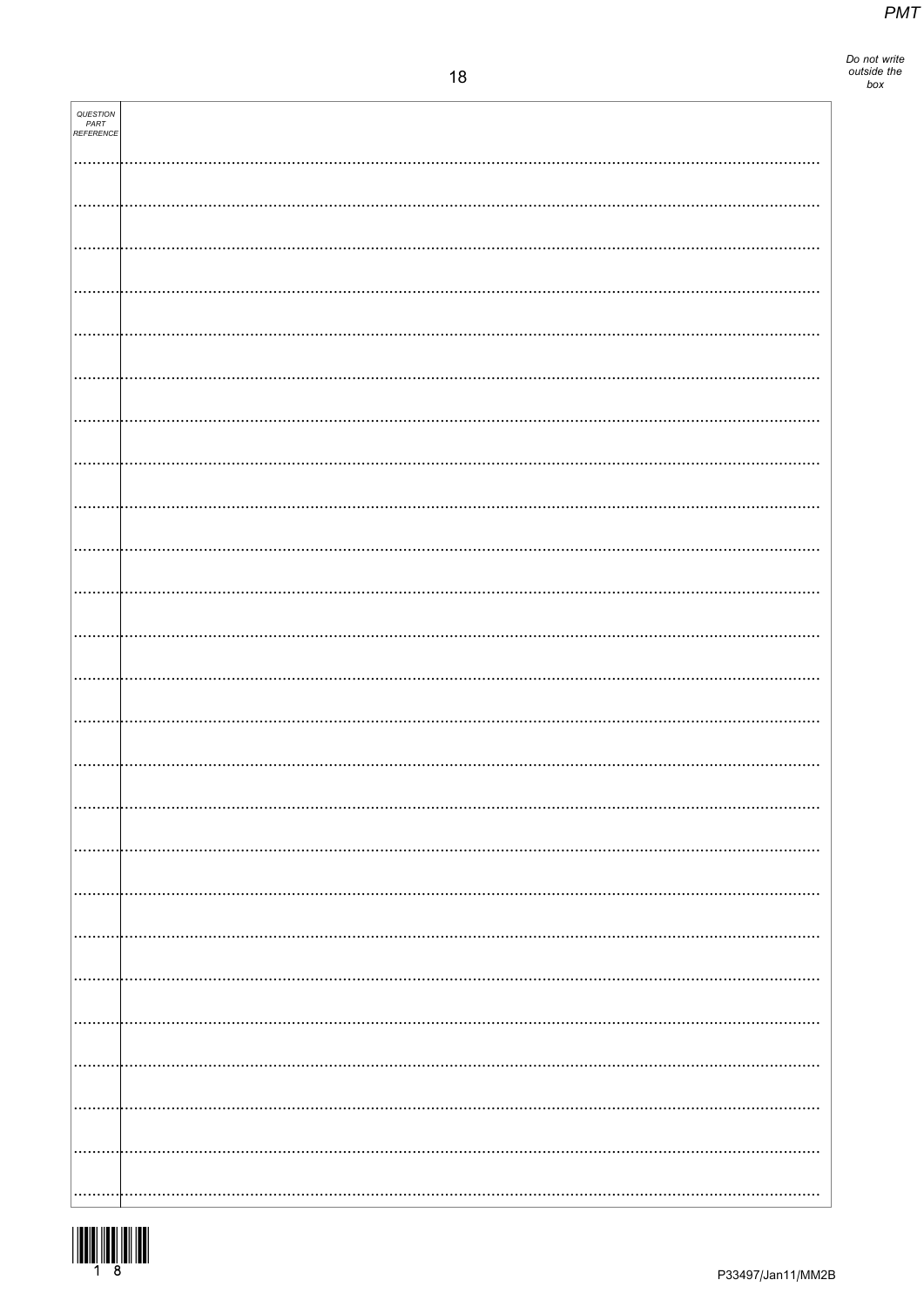| QUESTION<br>PART<br>REFERENCE |   |
|-------------------------------|---|
|                               |   |
|                               |   |
|                               |   |
|                               |   |
|                               |   |
|                               |   |
|                               |   |
|                               |   |
|                               |   |
|                               |   |
|                               |   |
|                               |   |
|                               |   |
|                               |   |
|                               |   |
|                               |   |
|                               |   |
|                               |   |
|                               |   |
|                               |   |
|                               |   |
|                               |   |
|                               | . |
|                               |   |
|                               |   |
|                               |   |

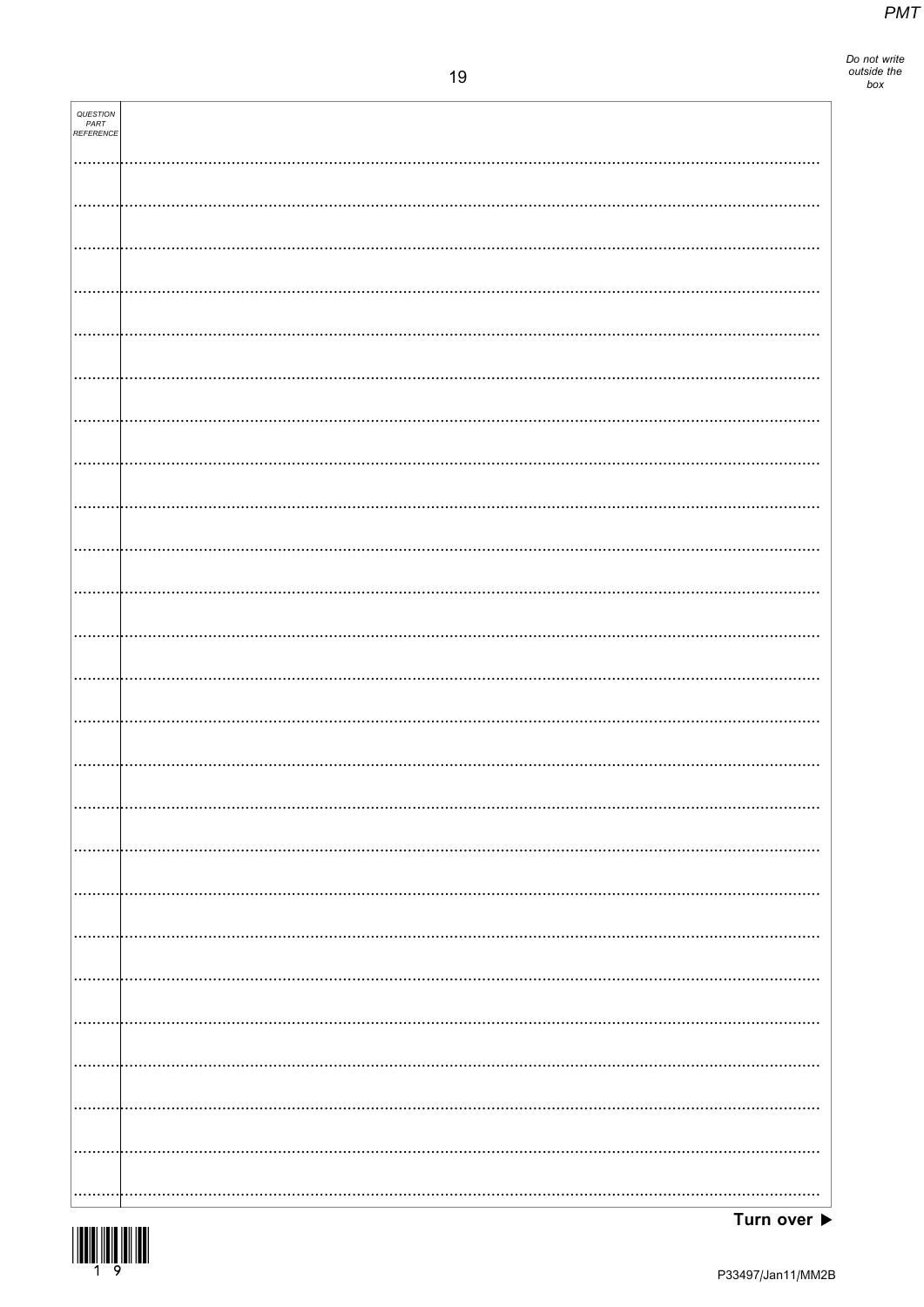| QUESTION<br>PART<br>REFERENCE |          |
|-------------------------------|----------|
|                               |          |
|                               |          |
|                               |          |
|                               |          |
|                               |          |
|                               |          |
|                               |          |
|                               |          |
|                               |          |
|                               |          |
|                               |          |
|                               |          |
|                               |          |
|                               |          |
|                               |          |
|                               |          |
|                               |          |
|                               |          |
|                               |          |
|                               |          |
|                               |          |
|                               |          |
|                               |          |
|                               |          |
|                               |          |
|                               | $\cdots$ |
|                               |          |
|                               |          |
|                               |          |
|                               |          |
|                               |          |
|                               |          |
|                               |          |
|                               |          |
|                               | .        |
|                               |          |
|                               |          |
|                               |          |

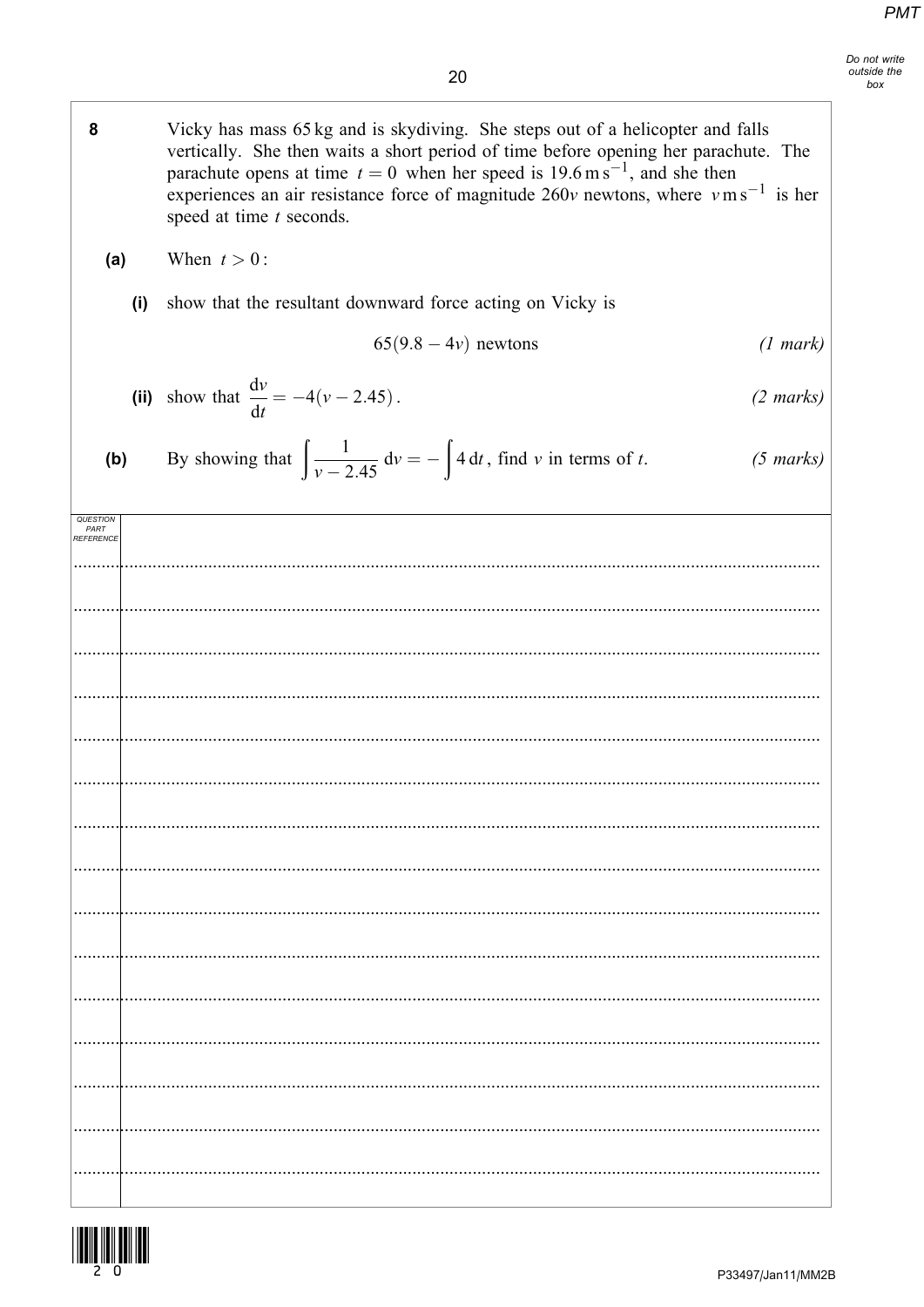| 8                             |     | Vicky has mass 65 kg and is skydiving. She steps out of a helicopter and falls<br>vertically. She then waits a short period of time before opening her parachute. The<br>parachute opens at time $t = 0$ when her speed is 19.6 m s <sup>-1</sup> , and she then<br>experiences an air resistance force of magnitude 260v newtons, where $v \text{ m s}^{-1}$ is her<br>speed at time t seconds. |  |
|-------------------------------|-----|--------------------------------------------------------------------------------------------------------------------------------------------------------------------------------------------------------------------------------------------------------------------------------------------------------------------------------------------------------------------------------------------------|--|
| (a)                           |     | When $t > 0$ :                                                                                                                                                                                                                                                                                                                                                                                   |  |
|                               | (i) | show that the resultant downward force acting on Vicky is                                                                                                                                                                                                                                                                                                                                        |  |
|                               |     | $65(9.8 - 4v)$ newtons<br>(1 mark)                                                                                                                                                                                                                                                                                                                                                               |  |
|                               |     | (ii) show that $\frac{dv}{dt} = -4(v - 2.45)$ .<br>$(2 \text{ marks})$                                                                                                                                                                                                                                                                                                                           |  |
| (b)                           |     | By showing that $\int \frac{1}{v - 2.45} dv = -\int 4 dt$ , find v in terms of t.<br>$(5 \text{ marks})$                                                                                                                                                                                                                                                                                         |  |
| QUESTION<br>PART<br>REFERENCE |     |                                                                                                                                                                                                                                                                                                                                                                                                  |  |
|                               |     |                                                                                                                                                                                                                                                                                                                                                                                                  |  |
|                               |     |                                                                                                                                                                                                                                                                                                                                                                                                  |  |
|                               |     |                                                                                                                                                                                                                                                                                                                                                                                                  |  |
|                               |     |                                                                                                                                                                                                                                                                                                                                                                                                  |  |
|                               |     |                                                                                                                                                                                                                                                                                                                                                                                                  |  |
|                               |     |                                                                                                                                                                                                                                                                                                                                                                                                  |  |
|                               |     |                                                                                                                                                                                                                                                                                                                                                                                                  |  |
|                               |     |                                                                                                                                                                                                                                                                                                                                                                                                  |  |
|                               |     |                                                                                                                                                                                                                                                                                                                                                                                                  |  |
|                               |     |                                                                                                                                                                                                                                                                                                                                                                                                  |  |
|                               |     |                                                                                                                                                                                                                                                                                                                                                                                                  |  |
|                               |     |                                                                                                                                                                                                                                                                                                                                                                                                  |  |
|                               |     |                                                                                                                                                                                                                                                                                                                                                                                                  |  |
|                               |     |                                                                                                                                                                                                                                                                                                                                                                                                  |  |
|                               |     |                                                                                                                                                                                                                                                                                                                                                                                                  |  |
|                               |     |                                                                                                                                                                                                                                                                                                                                                                                                  |  |

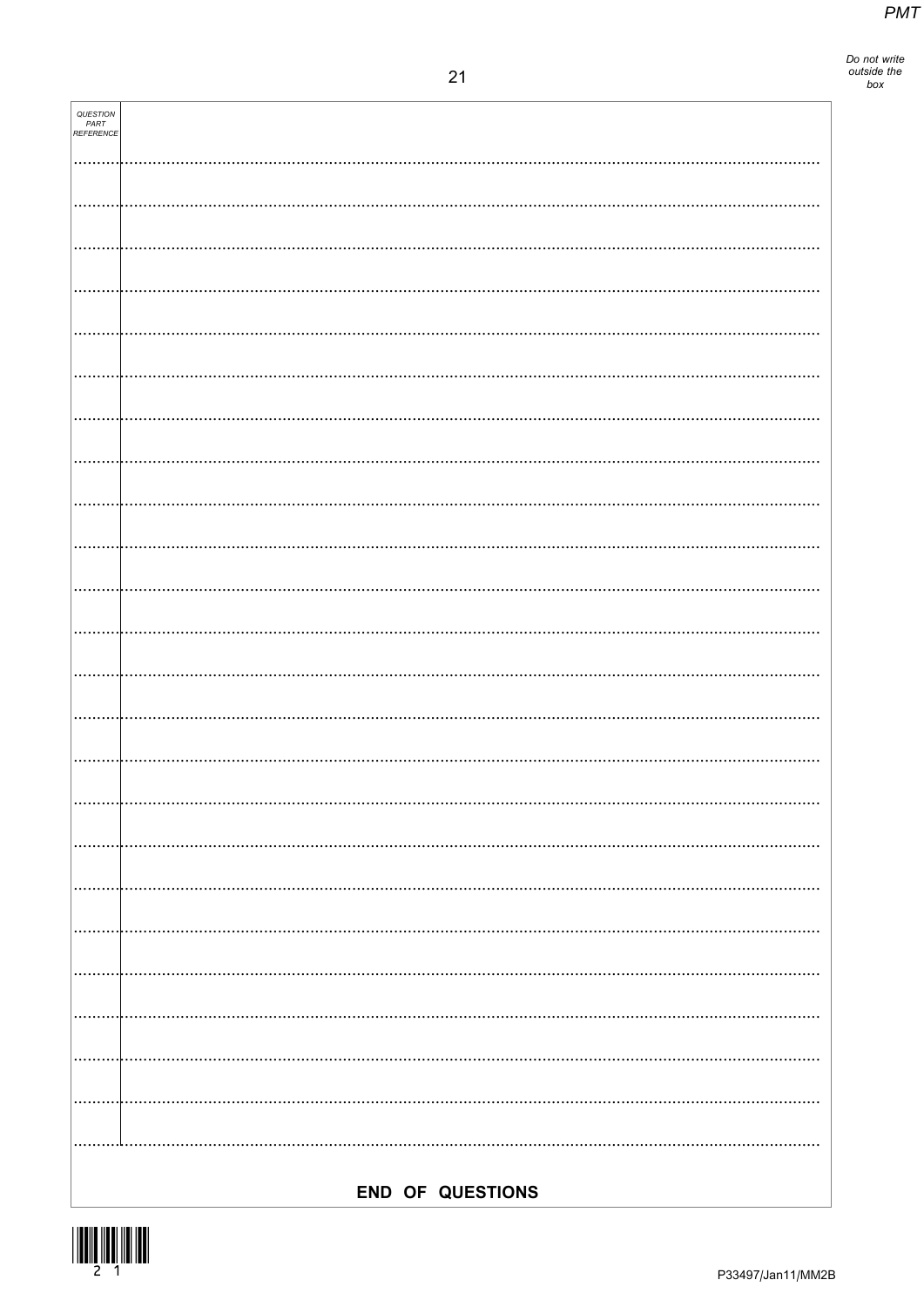| QUESTION<br>PART<br>REFERENCE |                  |  |  |  |  |
|-------------------------------|------------------|--|--|--|--|
|                               |                  |  |  |  |  |
|                               |                  |  |  |  |  |
|                               |                  |  |  |  |  |
|                               |                  |  |  |  |  |
|                               |                  |  |  |  |  |
|                               |                  |  |  |  |  |
|                               |                  |  |  |  |  |
|                               |                  |  |  |  |  |
|                               |                  |  |  |  |  |
|                               |                  |  |  |  |  |
|                               |                  |  |  |  |  |
|                               |                  |  |  |  |  |
|                               |                  |  |  |  |  |
|                               |                  |  |  |  |  |
|                               |                  |  |  |  |  |
|                               |                  |  |  |  |  |
|                               |                  |  |  |  |  |
|                               |                  |  |  |  |  |
|                               |                  |  |  |  |  |
|                               |                  |  |  |  |  |
|                               |                  |  |  |  |  |
|                               |                  |  |  |  |  |
|                               |                  |  |  |  |  |
|                               |                  |  |  |  |  |
|                               |                  |  |  |  |  |
|                               |                  |  |  |  |  |
|                               |                  |  |  |  |  |
|                               |                  |  |  |  |  |
|                               |                  |  |  |  |  |
|                               |                  |  |  |  |  |
|                               | END OF QUESTIONS |  |  |  |  |

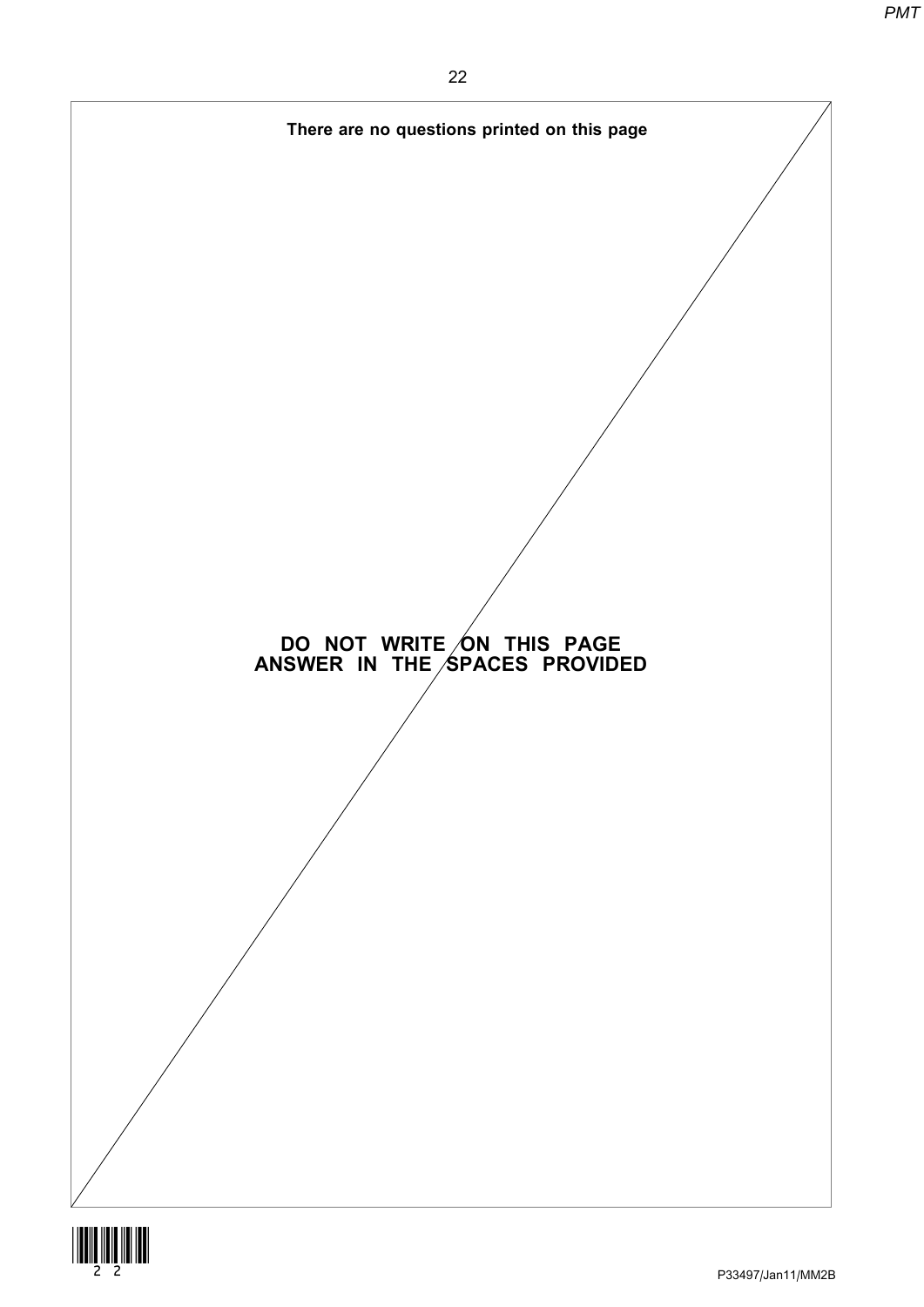

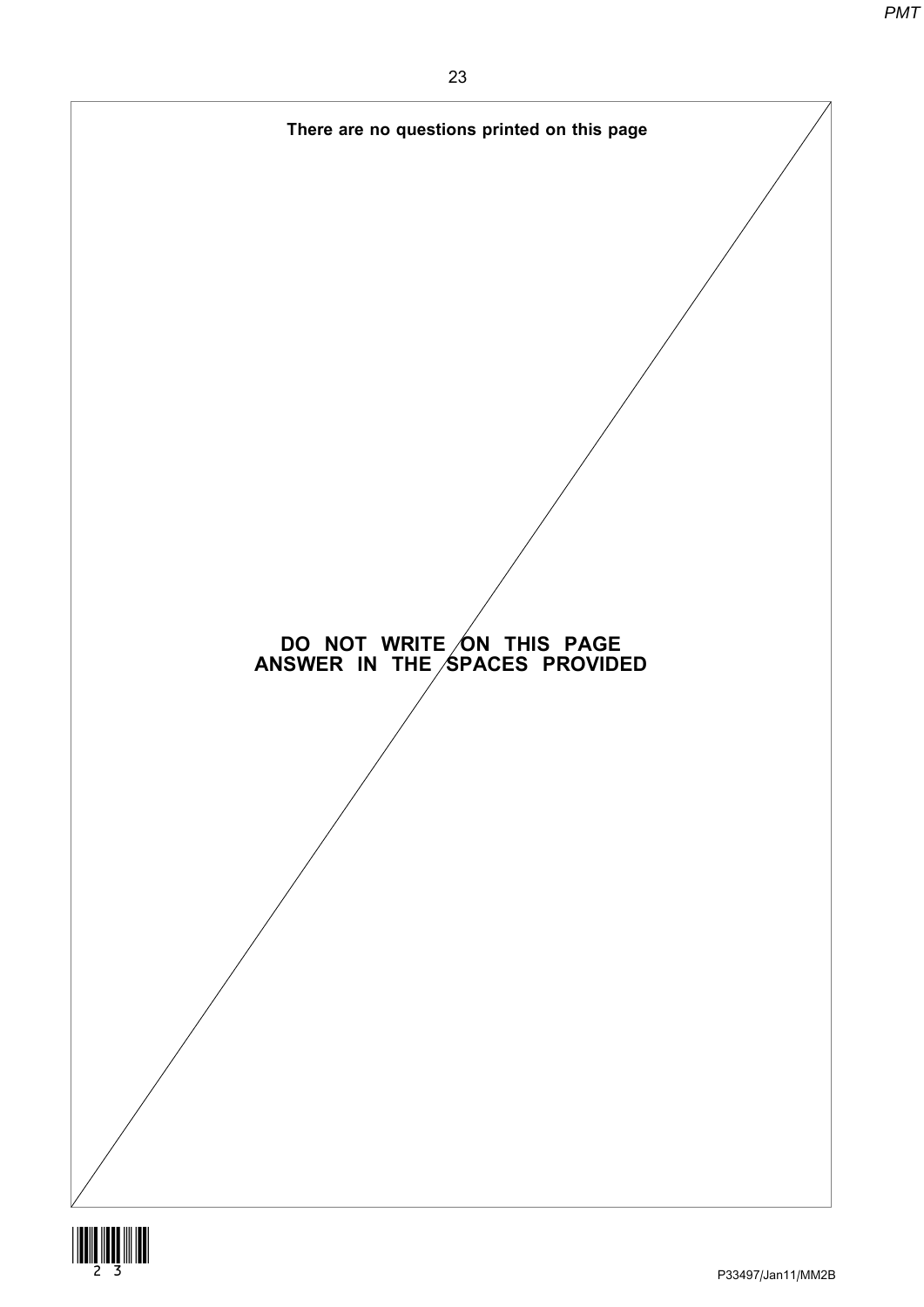